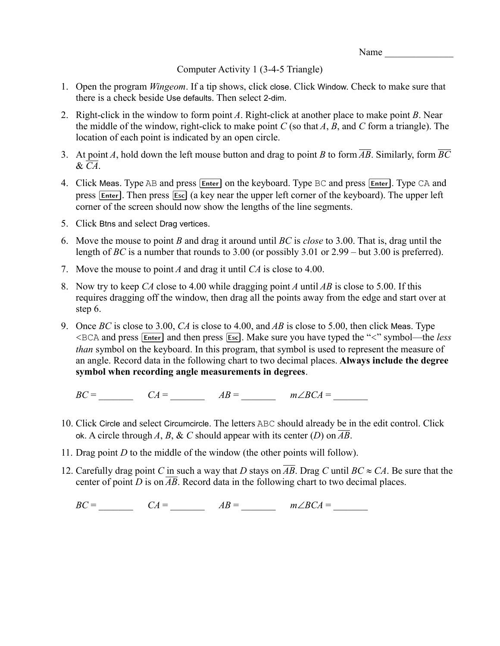Computer Activity 1 (3-4-5 Triangle)

- 1. Open the program *Wingeom*. If a tip shows, click close. Click Window. Check to make sure that there is a check beside Use defaults. Then select 2-dim.
- 2. Right-click in the window to form point *A*. Right-click at another place to make point *B*. Near the middle of the window, right-click to make point *C* (so that *A*, *B*, and *C* form a triangle). The location of each point is indicated by an open circle.
- 3. At point *A*, hold down the left mouse button and drag to point *B* to form *AB*. Similarly, form *BC* & *CA*.
- 4. Click Meas. Type AB and press Enter on the keyboard. Type BC and press Enter l. Type CA and press **Enter**. Then press **Esc** (a key near the upper left corner of the keyboard). The upper left corner of the screen should now show the lengths of the line segments.
- 5. Click Btns and select Drag vertices.
- 6. Move the mouse to point *B* and drag it around until *BC* is *close* to 3.00. That is, drag until the length of *BC* is a number that rounds to 3.00 (or possibly 3.01 or 2.99 – but 3.00 is preferred).
- 7. Move the mouse to point *A* and drag it until *CA* is close to 4.00.
- 8. Now try to keep *CA* close to 4.00 while dragging point *A* until *AB* is close to 5.00. If this requires dragging off the window, then drag all the points away from the edge and start over at step 6.
- 9. Once *BC* is close to 3.00, *CA* is close to 4.00, and *AB* is close to 5.00, then click Meas. Type <BCA and press [*Enter*] and then press [*Esc*]. Make sure you have typed the "<" symbol—the *less than* symbol on the keyboard. In this program, that symbol is used to represent the measure of an angle. Record data in the following chart to two decimal places. **Always include the degree symbol when recording angle measurements in degrees**.

 $BC =$   $CA =$   $AB =$   $m \angle BCA =$ 

- 10. Click Circle and select Circumcircle. The letters ABC should already be in the edit control. Click ok. A circle through A, B, & C should appear with its center (D) on  $\overline{AB}$ .
- 11. Drag point *D* to the middle of the window (the other points will follow).
- 12. Carefully drag point *C* in such a way that *D* stays on  $\overline{AB}$ . Drag *C* until  $BC \approx CA$ . Be sure that the center of point *D* is on  $\overline{AB}$ . Record data in the following chart to two decimal places.

 $BC =$   $CA =$   $AB =$   $m \angle BCA =$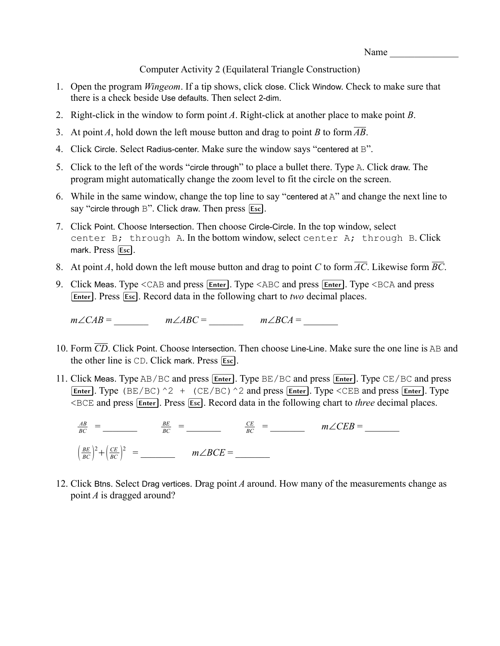Name  $\frac{1}{\sqrt{1-\frac{1}{2}}}\left\lceil \frac{1}{2}\right\rceil$ 

Computer Activity 2 (Equilateral Triangle Construction)

- 1. Open the program *Wingeom*. If a tip shows, click close. Click Window. Check to make sure that there is a check beside Use defaults. Then select 2-dim.
- 2. Right-click in the window to form point *A*. Right-click at another place to make point *B*.
- 3. At point *A*, hold down the left mouse button and drag to point *B* to form *AB*.
- 4. Click Circle. Select Radius-center. Make sure the window says "centered at B".
- 5. Click to the left of the words "circle through" to place a bullet there. Type A. Click draw. The program might automatically change the zoom level to fit the circle on the screen.
- 6. While in the same window, change the top line to say "centered at A" and change the next line to say "circle through  $B$ ". Click draw. Then press  $\overline{Esc}$ .
- 7. Click Point. Choose Intersection. Then choose Circle-Circle. In the top window, select center B; through A. In the bottom window, select center A; through B. Click mark. Press  $\overline{\text{Esc}}$ .
- 8. At point *A*, hold down the left mouse button and drag to point *C* to form  $\overline{AC}$ . Likewise form  $\overline{BC}$ .
- 9. Click Meas. Type <CAB and press [Enter]. Type <ABC and press [Enter]. Type <BCA and press Enter]. Press [Esc]. Record data in the following chart to *two* decimal places.

 $m\angle CAB =$   $m\angle ABC =$   $m\angle BCA =$ 

- 10. Form *CD*. Click Point. Choose Intersection. Then choose Line-Line. Make sure the one line is AB and the other line is  $CD$ . Click mark. Press  $\overline{Esc}$ .
- 11. Click Meas. Type AB/BC and press [Enter]. Type BE/BC and press [Enter]. Type CE/BC and press Enter]. Type (BE/BC) ^2 + (CE/BC) ^2 and press  $[Enter]$ . Type <CEB and press  $[Enter]$ . Type <BCE and press **Enter**. Press **Esc**. Record data in the following chart to *three* decimal places.

 $\frac{AB}{BC}$  = \_\_\_\_\_\_ *BE* = \_\_\_\_\_ *CE* = \_\_\_\_\_ *m∠CEB* = \_\_\_\_\_ ( *BE BC* ) <sup>2</sup>+( *CE BC* ) 2 = \_\_\_\_\_\_\_ *mBCE* = \_\_\_\_\_\_\_

12. Click Btns. Select Drag vertices. Drag point *A* around. How many of the measurements change as point *A* is dragged around?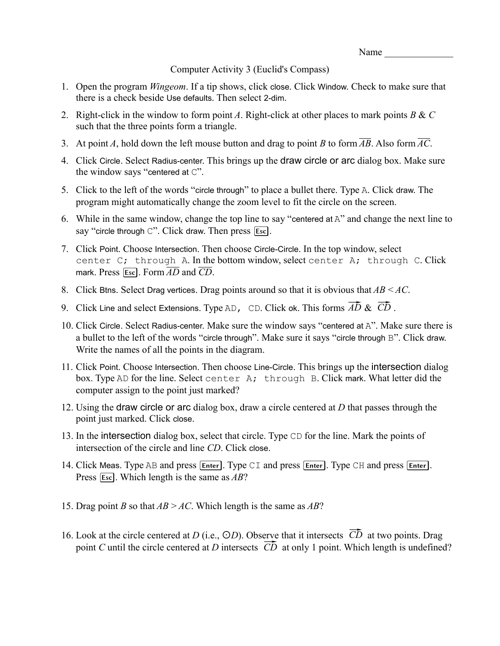Name  $\qquad \qquad$ 

Computer Activity 3 (Euclid's Compass)

- 1. Open the program *Wingeom*. If a tip shows, click close. Click Window. Check to make sure that there is a check beside Use defaults. Then select 2-dim.
- 2. Right-click in the window to form point *A*. Right-click at other places to mark points *B* & *C* such that the three points form a triangle.
- 3. At point *A*, hold down the left mouse button and drag to point *B* to form *AB*. Also form *AC*.
- 4. Click Circle. Select Radius-center. This brings up the draw circle or arc dialog box. Make sure the window says "centered at C".
- 5. Click to the left of the words "circle through" to place a bullet there. Type A. Click draw. The program might automatically change the zoom level to fit the circle on the screen.
- 6. While in the same window, change the top line to say "centered at A" and change the next line to say "circle through  $\mathbb{C}$ ". Click draw. Then press  $\overline{\text{Esc}}$ .
- 7. Click Point. Choose Intersection. Then choose Circle-Circle. In the top window, select center C; through A. In the bottom window, select center A; through C. Click mark. Press  $\overline{Esc}$ . Form  $\overline{AD}$  and  $\overline{CD}$ .
- 8. Click Btns. Select Drag vertices. Drag points around so that it is obvious that *AB* < *AC*.
- 9. Click Line and select Extensions. Type AD, CD. Click ok. This forms  $\overline{AD} \& \overline{CD}$ .
- 10. Click Circle. Select Radius-center. Make sure the window says "centered at A". Make sure there is a bullet to the left of the words "circle through". Make sure it says "circle through B". Click draw. Write the names of all the points in the diagram.
- 11. Click Point. Choose Intersection. Then choose Line-Circle. This brings up the intersection dialog box. Type AD for the line. Select center A; through B. Click mark. What letter did the computer assign to the point just marked?
- 12. Using the draw circle or arc dialog box, draw a circle centered at *D* that passes through the point just marked. Click close.
- 13. In the intersection dialog box, select that circle. Type CD for the line. Mark the points of intersection of the circle and line *CD*. Click close.
- 14. Click Meas. Type AB and press **Enter**. Type CI and press **Enter**. Type CH and press **Enter**. Press **[Esc]**. Which length is the same as *AB*?
- 15. Drag point *B* so that *AB* > *AC*. Which length is the same as *AB*?
- 16. Look at the circle centered at *D* (i.e.,  $\odot$ *D*). Observe that it intersects  $\overrightarrow{CD}$  at two points. Drag point *C* until the circle centered at *D* intersects  $\overrightarrow{CD}$  at only 1 point. Which length is undefined?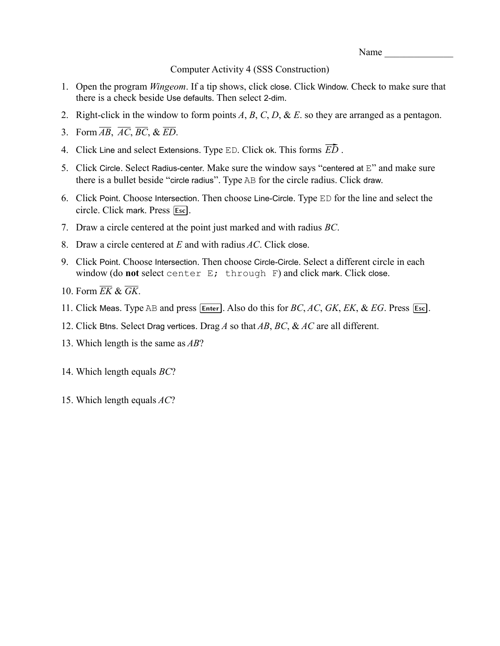### Computer Activity 4 (SSS Construction)

- 1. Open the program *Wingeom*. If a tip shows, click close. Click Window. Check to make sure that there is a check beside Use defaults. Then select 2-dim.
- 2. Right-click in the window to form points *A*, *B*, *C*, *D*, & *E*. so they are arranged as a pentagon.
- 3. Form *AB*, *AC*, *BC*, & *ED*.
- 4. Click Line and select Extensions. Type ED. Click ok. This forms  $\overline{ED}$ .
- 5. Click Circle. Select Radius-center. Make sure the window says "centered at E" and make sure there is a bullet beside "circle radius". Type AB for the circle radius. Click draw.
- 6. Click Point. Choose Intersection. Then choose Line-Circle. Type ED for the line and select the  $circle.$  Click mark. Press  $\overline{Esc}$ .
- 7. Draw a circle centered at the point just marked and with radius *BC*.
- 8. Draw a circle centered at *E* and with radius *AC*. Click close.
- 9. Click Point. Choose Intersection. Then choose Circle-Circle. Select a different circle in each window (do **not** select center E; through F) and click mark. Click close.
- 10. Form  $\overline{EK}$  &  $\overline{GK}$ .
- 11. Click Meas. Type AB and press Enter. Also do this for  $BC, AC, GK, EK, \& EG$ . Press Esc.
- 12. Click Btns. Select Drag vertices. Drag *A* so that *AB*, *BC*, & *AC* are all different.
- 13. Which length is the same as *AB*?
- 14. Which length equals *BC*?
- 15. Which length equals *AC*?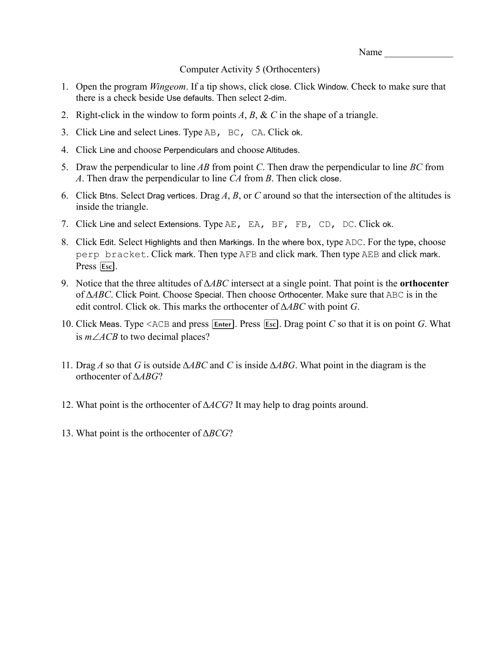Name  $\frac{1}{\sqrt{1-\frac{1}{2}}\cdot\frac{1}{\sqrt{1-\frac{1}{2}}}}$ 

## Computer Activity 5 (Orthocenters)

- 1. Open the program *Wingeom*. If a tip shows, click close. Click Window. Check to make sure that there is a check beside Use defaults. Then select 2-dim.
- 2. Right-click in the window to form points *A*, *B*, & *C* in the shape of a triangle.
- 3. Click Line and select Lines. Type AB, BC, CA. Click ok.
- 4. Click Line and choose Perpendiculars and choose Altitudes.
- 5. Draw the perpendicular to line *AB* from point *C*. Then draw the perpendicular to line *BC* from *A*. Then draw the perpendicular to line *CA* from *B*. Then click close.
- 6. Click Btns. Select Drag vertices. Drag *A*, *B*, or *C* around so that the intersection of the altitudes is inside the triangle.
- 7. Click Line and select Extensions. Type AE, EA, BF, FB, CD, DC. Click ok.
- 8. Click Edit. Select Highlights and then Markings. In the where box, type ADC. For the type, choose perp bracket. Click mark. Then type AFB and click mark. Then type AEB and click mark. Press **Esc**.
- 9. Notice that the three altitudes of Δ*ABC* intersect at a single point. That point is the **orthocenter** of Δ*ABC*. Click Point. Choose Special. Then choose Orthocenter. Make sure that ABC is in the edit control. Click ok. This marks the orthocenter of Δ*ABC* with point *G*.
- 10. Click Meas. Type <ACB and press **Enter**]. Press **Esc**. Drag point *C* so that it is on point *G*. What is  $m\angle ACB$  to two decimal places?
- 11. Drag *A* so that *G* is outside Δ*ABC* and *C* is inside Δ*ABG*. What point in the diagram is the orthocenter of Δ*ABG*?
- 12. What point is the orthocenter of Δ*ACG*? It may help to drag points around.
- 13. What point is the orthocenter of Δ*BCG*?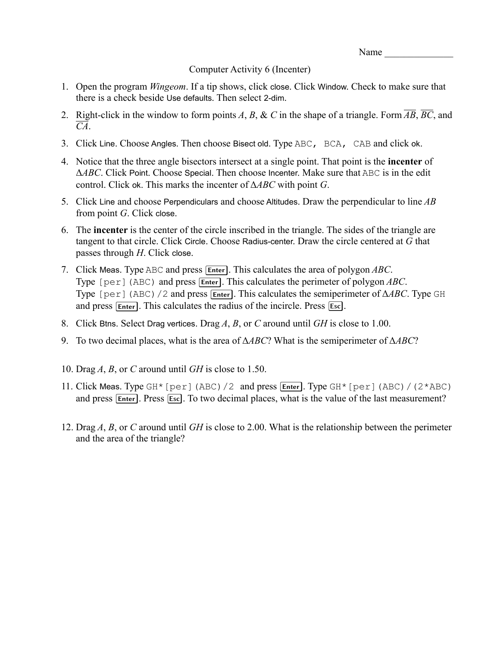Name \_\_\_\_\_\_\_\_\_\_\_\_\_\_

### Computer Activity 6 (Incenter)

- 1. Open the program *Wingeom*. If a tip shows, click close. Click Window. Check to make sure that there is a check beside Use defaults. Then select 2-dim.
- 2. Right-click in the window to form points A, B, & C in the shape of a triangle. Form  $\overline{AB}$ ,  $\overline{BC}$ , and *CA*.
- 3. Click Line. Choose Angles. Then choose Bisect old. Type ABC, BCA, CAB and click ok.
- 4. Notice that the three angle bisectors intersect at a single point. That point is the **incenter** of Δ*ABC*. Click Point. Choose Special. Then choose Incenter. Make sure that ABC is in the edit control. Click ok. This marks the incenter of Δ*ABC* with point *G*.
- 5. Click Line and choose Perpendiculars and choose Altitudes. Draw the perpendicular to line *AB* from point *G*. Click close.
- 6. The **incenter** is the center of the circle inscribed in the triangle. The sides of the triangle are tangent to that circle. Click Circle. Choose Radius-center. Draw the circle centered at *G* that passes through *H*. Click close.
- 7. Click Meas. Type ABC and press **Enter**. This calculates the area of polygon ABC. Type [per] (ABC) and press **Enter**]. This calculates the perimeter of polygon *ABC*. Type [per](ABC)/2 and press **Enter**]. This calculates the semiperimeter of ΔABC. Type GH and press **Enter**. This calculates the radius of the incircle. Press **Esc**.
- 8. Click Btns. Select Drag vertices. Drag *A*, *B*, or *C* around until *GH* is close to 1.00.
- 9. To two decimal places, what is the area of Δ*ABC*? What is the semiperimeter of Δ*ABC*?
- 10. Drag *A*, *B*, or *C* around until *GH* is close to 1.50.
- 11. Click Meas. Type GH\* [per](ABC)/2 and press [Enter]. Type GH\* [per](ABC)/(2\*ABC) and press **Enter**. Press **Esc**. To two decimal places, what is the value of the last measurement?
- 12. Drag *A*, *B*, or *C* around until *GH* is close to 2.00. What is the relationship between the perimeter and the area of the triangle?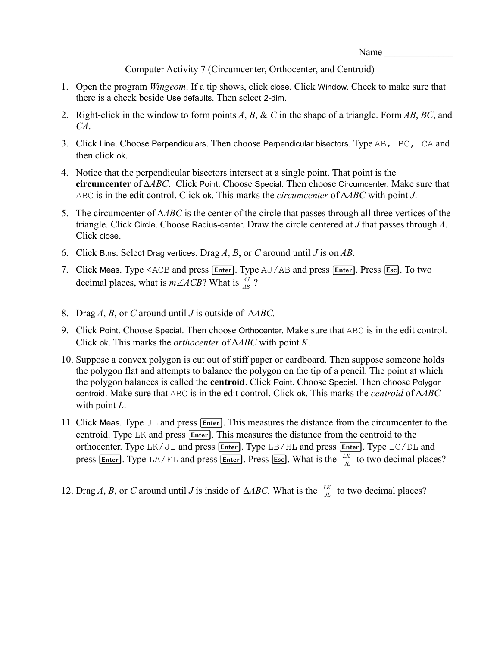Name  $\frac{1}{\sqrt{1-\frac{1}{2}}\cdot\frac{1}{\sqrt{1-\frac{1}{2}}}}$ 

Computer Activity 7 (Circumcenter, Orthocenter, and Centroid)

- 1. Open the program *Wingeom*. If a tip shows, click close. Click Window. Check to make sure that there is a check beside Use defaults. Then select 2-dim.
- 2. Right-click in the window to form points A, B, & C in the shape of a triangle. Form  $\overline{AB}$ ,  $\overline{BC}$ , and *CA*.
- 3. Click Line. Choose Perpendiculars. Then choose Perpendicular bisectors. Type AB, BC, CA and then click ok.
- 4. Notice that the perpendicular bisectors intersect at a single point. That point is the **circumcenter** of Δ*ABC*. Click Point. Choose Special. Then choose Circumcenter. Make sure that ABC is in the edit control. Click ok. This marks the *circumcenter* of Δ*ABC* with point *J*.
- 5. The circumcenter of Δ*ABC* is the center of the circle that passes through all three vertices of the triangle. Click Circle. Choose Radius-center. Draw the circle centered at *J* that passes through *A*. Click close.
- 6. Click Btns. Select Drag vertices. Drag *A*, *B*, or *C* around until *J* is on *AB*.
- 7. Click Meas. Type <ACB and press **Enter**. Type AJ/AB and press **Enter**. Press **Esc**. To two decimal places, what is  $m\angle ACB$ ? What is  $\frac{AJ}{AB}$ ?
- 8. Drag *A*, *B*, or *C* around until *J* is outside of Δ*ABC.*
- 9. Click Point. Choose Special. Then choose Orthocenter. Make sure that ABC is in the edit control. Click ok. This marks the *orthocenter* of Δ*ABC* with point *K*.
- 10. Suppose a convex polygon is cut out of stiff paper or cardboard. Then suppose someone holds the polygon flat and attempts to balance the polygon on the tip of a pencil. The point at which the polygon balances is called the **centroid**. Click Point. Choose Special. Then choose Polygon centroid. Make sure that ABC is in the edit control. Click ok. This marks the *centroid* of Δ*ABC* with point *L*.
- 11. Click Meas. Type JL and press **Enter**. This measures the distance from the circumcenter to the centroid. Type LK and press **Enter**. This measures the distance from the centroid to the orthocenter. Type LK/JL and press **Enter**. Type LB/HL and press **Enter**. Type LC/DL and press **Enter**. Type LA/FL and press **Enter**. Press **Esc**. What is the  $\frac{LK}{JL}$  to two decimal places?
- 12. Drag *A*, *B*, or *C* around until *J* is inside of  $\triangle ABC$ . What is the  $\frac{LK}{JL}$  to two decimal places?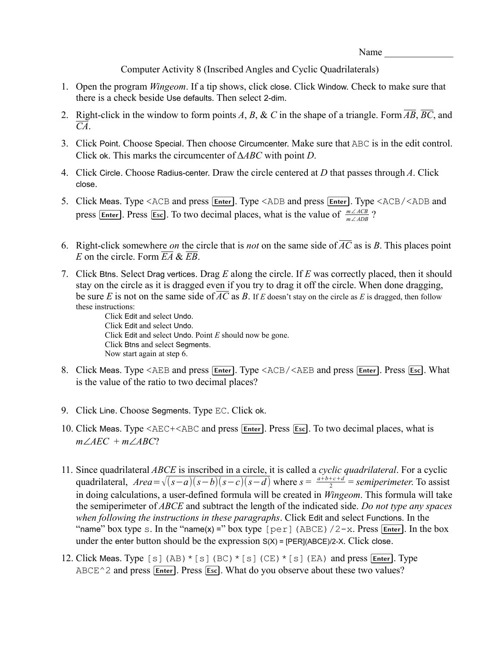Computer Activity 8 (Inscribed Angles and Cyclic Quadrilaterals)

- 1. Open the program *Wingeom*. If a tip shows, click close. Click Window. Check to make sure that there is a check beside Use defaults. Then select 2-dim.
- 2. Right-click in the window to form points A, B, & C in the shape of a triangle. Form  $\overline{AB}$ ,  $\overline{BC}$ , and *CA*.
- 3. Click Point. Choose Special. Then choose Circumcenter. Make sure that ABC is in the edit control. Click ok. This marks the circumcenter of Δ*ABC* with point *D*.
- 4. Click Circle. Choose Radius-center. Draw the circle centered at *D* that passes through *A*. Click close.
- 5. Click Meas. Type <ACB and press **Enter**]. Type <ADB and press **Enter**]. Type <ACB/<ADB and press **Enter**. Press **Esc**. To two decimal places, what is the value of  $\frac{m \angle ACB}{m \angle ADB}$ ?
- 6. Right-click somewhere *on* the circle that is *not* on the same side of  $\overline{AC}$  as is *B*. This places point *E* on the circle. Form  $\overline{EA}$  &  $\overline{EB}$ .
- 7. Click Btns. Select Drag vertices. Drag *E* along the circle. If *E* was correctly placed, then it should stay on the circle as it is dragged even if you try to drag it off the circle. When done dragging, be sure *E* is not on the same side of  $\overline{AC}$  as *B*. If *E* doesn't stay on the circle as *E* is dragged, then follow these instructions:

Click Edit and select Undo. Click Edit and select Undo. Click Edit and select Undo. Point *E* should now be gone. Click Btns and select Segments. Now start again at step 6.

- 8. Click Meas. Type <AEB and press [Enter]. Type <ACB/<AEB and press [Enter]. Press [Esc]. What is the value of the ratio to two decimal places?
- 9. Click Line. Choose Segments. Type EC. Click ok.
- 10. Click Meas. Type <AEC+<ABC and press **Enter**]. Press **Esc**. To two decimal places, what is  $m\angle AEC + m\angle ABC$ ?
- 11. Since quadrilateral *ABCE* is inscribed in a circle, it is called a *cyclic quadrilateral*. For a cyclic quadrilateral,  $Area = \sqrt{(s-a)(s-b)(s-c)(s-d)}$  where  $s = \frac{a+b+c+d}{2}$  $\frac{1+c+d}{2}$  = *semiperimeter*. To assist in doing calculations, a user-defined formula will be created in *Wingeom*. This formula will take the semiperimeter of *ABCE* and subtract the length of the indicated side. *Do not type any spaces when following the instructions in these paragraphs*. Click Edit and select Functions. In the "name" box type s. In the "name(x) =" box type  $[per]$  (ABCE) /2-x. Press  $[Enter]$ . In the box under the enter button should be the expression  $S(X) = [PER](ABCE)/2-X$ . Click close.
- 12. Click Meas. Type [s](AB)  $*(s]$  (BC)  $*(s]$  (CE)  $*(s]$  (EA) and press Enter]. Type ABCE^2 and press **Enter**. Press **Esc**. What do you observe about these two values?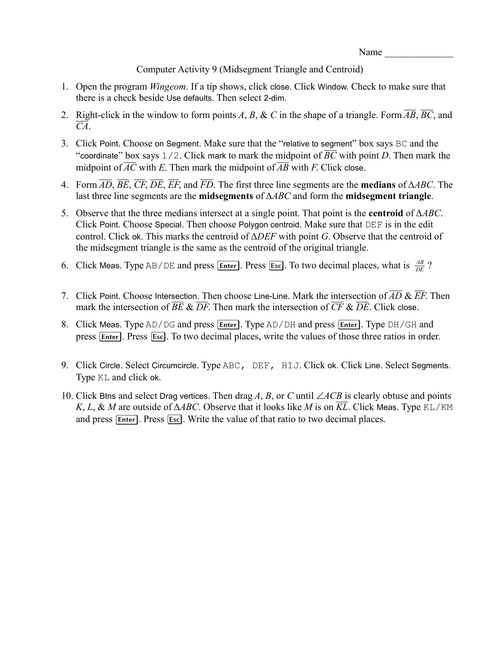Name  $\frac{1}{\sqrt{1-\frac{1}{2}}\cdot\frac{1}{\sqrt{1-\frac{1}{2}}}}$ 

## Computer Activity 9 (Midsegment Triangle and Centroid)

- 1. Open the program *Wingeom*. If a tip shows, click close. Click Window. Check to make sure that there is a check beside Use defaults. Then select 2-dim.
- 2. Right-click in the window to form points A, B, & C in the shape of a triangle. Form  $\overline{AB}$ ,  $\overline{BC}$ , and *CA*.
- 3. Click Point. Choose on Segment. Make sure that the "relative to segment" box says BC and the "coordinate" box says  $1/2$ . Click mark to mark the midpoint of  $\overline{BC}$  with point *D*. Then mark the midpoint of  $\overline{AC}$  with *E*. Then mark the midpoint of  $\overline{AB}$  with *F*. Click close.
- 4. Form *AD*, *BE*, *CF*, *DE*, *EF*, and *FD*. The first three line segments are the **medians** of Δ*ABC*. The last three line segments are the **midsegments** of Δ*ABC* and form the **midsegment triangle**.
- 5. Observe that the three medians intersect at a single point. That point is the **centroid** of Δ*ABC*. Click Point. Choose Special. Then choose Polygon centroid. Make sure that DEF is in the edit control. Click ok. This marks the centroid of Δ*DEF* with point *G*. Observe that the centroid of the midsegment triangle is the same as the centroid of the original triangle.
- 6. Click Meas. Type AB/DE and press **Enter**. Press **Esc**. To two decimal places, what is  $\frac{AB}{DE}$ ?
- 7. Click Point. Choose Intersection. Then choose Line-Line. Mark the intersection of  $\overline{AD}$  &  $\overline{EF}$ . Then mark the intersection of  $\overline{BE}$  &  $\overline{DF}$ . Then mark the intersection of  $\overline{CF}$  &  $\overline{DE}$ . Click close.
- 8. Click Meas. Type AD/DG and press [Enter]. Type AD/DH and press [Enter]. Type DH/GH and press **Enter**. Press Esc. To two decimal places, write the values of those three ratios in order.
- 9. Click Circle. Select Circumcircle. Type ABC, DEF, HIJ. Click ok. Click Line. Select Segments. Type KL and click ok.
- 10. Click Btns and select Drag vertices. Then drag  $A$ ,  $B$ , or  $C$  until  $\angle ACB$  is clearly obtuse and points *K*, *L*, & *M* are outside of Δ*ABC*. Observe that it looks like *M* is on *KL*. Click Meas. Type KL/KM and press  $\overline{\text{Enter}}$ . Press  $\overline{\text{Esc}}$ . Write the value of that ratio to two decimal places.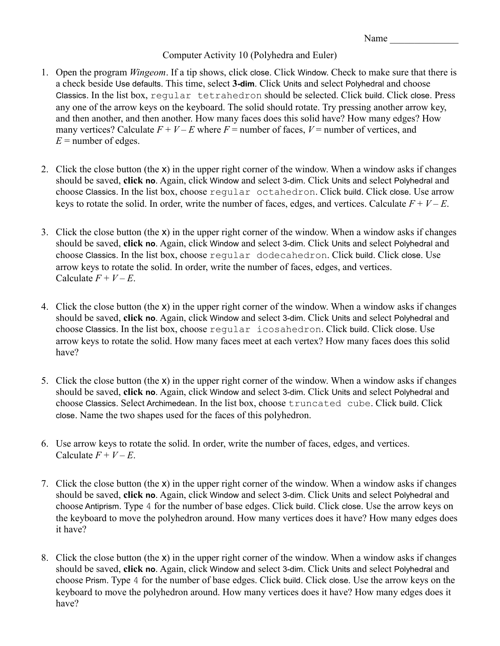# Computer Activity 10 (Polyhedra and Euler)

- 1. Open the program *Wingeom*. If a tip shows, click close. Click Window. Check to make sure that there is a check beside Use defaults. This time, select **3-dim**. Click Units and select Polyhedral and choose Classics. In the list box, regular tetrahedron should be selected. Click build. Click close. Press any one of the arrow keys on the keyboard. The solid should rotate. Try pressing another arrow key, and then another, and then another. How many faces does this solid have? How many edges? How many vertices? Calculate  $F + V - E$  where  $F =$  number of faces,  $V =$  number of vertices, and  $E =$  number of edges.
- 2. Click the close button (the x) in the upper right corner of the window. When a window asks if changes should be saved, **click no**. Again, click Window and select 3-dim. Click Units and select Polyhedral and choose Classics. In the list box, choose regular octahedron. Click build. Click close. Use arrow keys to rotate the solid. In order, write the number of faces, edges, and vertices. Calculate  $F + V - E$ .
- 3. Click the close button (the x) in the upper right corner of the window. When a window asks if changes should be saved, **click no**. Again, click Window and select 3-dim. Click Units and select Polyhedral and choose Classics. In the list box, choose regular dodecahedron. Click build. Click close. Use arrow keys to rotate the solid. In order, write the number of faces, edges, and vertices. Calculate  $F + V - E$ .
- 4. Click the close button (the x) in the upper right corner of the window. When a window asks if changes should be saved, **click no**. Again, click Window and select 3-dim. Click Units and select Polyhedral and choose Classics. In the list box, choose regular icosahedron. Click build. Click close. Use arrow keys to rotate the solid. How many faces meet at each vertex? How many faces does this solid have?
- 5. Click the close button (the x) in the upper right corner of the window. When a window asks if changes should be saved, **click no**. Again, click Window and select 3-dim. Click Units and select Polyhedral and choose Classics. Select Archimedean. In the list box, choose truncated cube. Click build. Click close. Name the two shapes used for the faces of this polyhedron.
- 6. Use arrow keys to rotate the solid. In order, write the number of faces, edges, and vertices. Calculate  $F + V - E$ .
- 7. Click the close button (the x) in the upper right corner of the window. When a window asks if changes should be saved, **click no**. Again, click Window and select 3-dim. Click Units and select Polyhedral and choose Antiprism. Type 4 for the number of base edges. Click build. Click close. Use the arrow keys on the keyboard to move the polyhedron around. How many vertices does it have? How many edges does it have?
- 8. Click the close button (the x) in the upper right corner of the window. When a window asks if changes should be saved, **click no**. Again, click Window and select 3-dim. Click Units and select Polyhedral and choose Prism. Type 4 for the number of base edges. Click build. Click close. Use the arrow keys on the keyboard to move the polyhedron around. How many vertices does it have? How many edges does it have?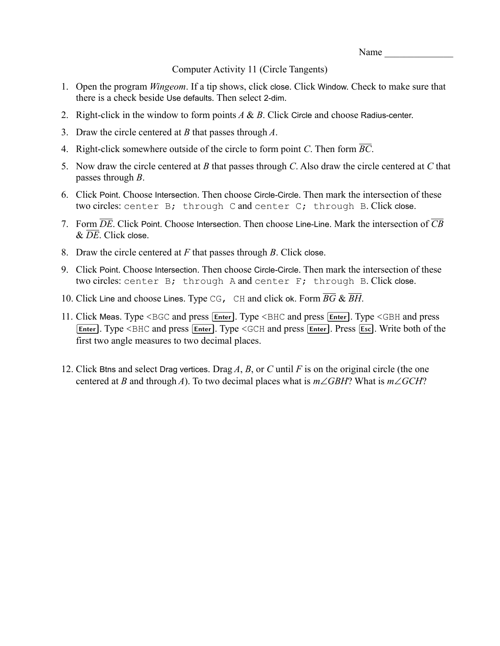Name  $\frac{1}{\sqrt{1-\frac{1}{2}}\cdot\frac{1}{\sqrt{1-\frac{1}{2}}}}$ 

### Computer Activity 11 (Circle Tangents)

- 1. Open the program *Wingeom*. If a tip shows, click close. Click Window. Check to make sure that there is a check beside Use defaults. Then select 2-dim.
- 2. Right-click in the window to form points *A* & *B*. Click Circle and choose Radius-center.
- 3. Draw the circle centered at *B* that passes through *A*.
- 4. Right-click somewhere outside of the circle to form point *C*. Then form *BC*.
- 5. Now draw the circle centered at *B* that passes through *C*. Also draw the circle centered at *C* that passes through *B*.
- 6. Click Point. Choose Intersection. Then choose Circle-Circle. Then mark the intersection of these two circles: center B; through C and center C; through B. Click close.
- 7. Form  $\overline{DE}$ . Click Point. Choose Intersection. Then choose Line-Line. Mark the intersection of  $\overline{CB}$ & *DE*. Click close.
- 8. Draw the circle centered at *F* that passes through *B*. Click close.
- 9. Click Point. Choose Intersection. Then choose Circle-Circle. Then mark the intersection of these two circles: center B; through A and center F; through B. Click close.
- 10. Click Line and choose Lines. Type CG, CH and click ok. Form *BG* & *BH*.
- 11. Click Meas. Type <BGC and press [Enter]. Type <BHC and press [Enter]. Type <GBH and press Enter]. Type <BHC and press Enter]. Type <GCH and press Enter]. Press Esc]. Write both of the first two angle measures to two decimal places.
- 12. Click Btns and select Drag vertices. Drag *A*, *B*, or *C* until *F* is on the original circle (the one centered at *B* and through *A*). To two decimal places what is  $m \angle GBH$ ? What is  $m \angle GCH$ ?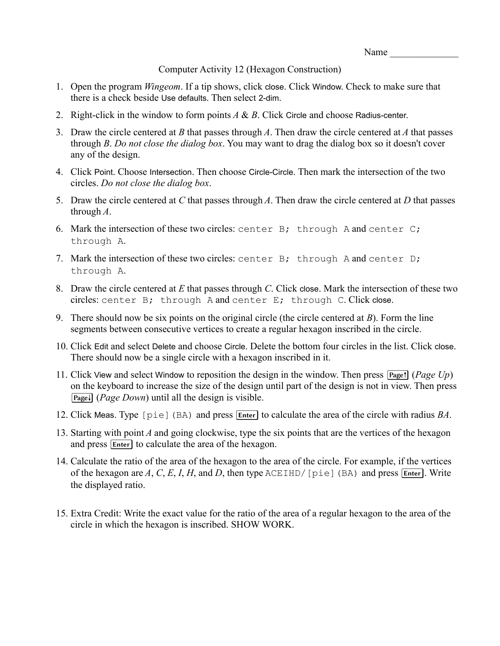Name  $\frac{1}{\sqrt{1-\frac{1}{2}}}\left\vert \frac{1}{\sqrt{1-\frac{1}{2}}}\right\vert$ 

## Computer Activity 12 (Hexagon Construction)

- 1. Open the program *Wingeom*. If a tip shows, click close. Click Window. Check to make sure that there is a check beside Use defaults. Then select 2-dim.
- 2. Right-click in the window to form points *A* & *B*. Click Circle and choose Radius-center.
- 3. Draw the circle centered at *B* that passes through *A*. Then draw the circle centered at *A* that passes through *B*. *Do not close the dialog box*. You may want to drag the dialog box so it doesn't cover any of the design.
- 4. Click Point. Choose Intersection. Then choose Circle-Circle. Then mark the intersection of the two circles. *Do not close the dialog box*.
- 5. Draw the circle centered at *C* that passes through *A*. Then draw the circle centered at *D* that passes through *A*.
- 6. Mark the intersection of these two circles: center B; through A and center C; through A.
- 7. Mark the intersection of these two circles: center B; through A and center D; through A.
- 8. Draw the circle centered at *E* that passes through *C*. Click close. Mark the intersection of these two circles: center B; through A and center E; through C. Click close.
- 9. There should now be six points on the original circle (the circle centered at *B*). Form the line segments between consecutive vertices to create a regular hexagon inscribed in the circle.
- 10. Click Edit and select Delete and choose Circle. Delete the bottom four circles in the list. Click close. There should now be a single circle with a hexagon inscribed in it.
- 11. Click View and select Window to reposition the design in the window. Then press (*Page Up*) on the keyboard to increase the size of the design until part of the design is not in view. Then press (*Page Down*) until all the design is visible.
- 12. Click Meas. Type [pie] (BA) and press **Enter** to calculate the area of the circle with radius *BA*.
- 13. Starting with point *A* and going clockwise, type the six points that are the vertices of the hexagon and press **Enter** to calculate the area of the hexagon.
- 14. Calculate the ratio of the area of the hexagon to the area of the circle. For example, if the vertices of the hexagon are  $A, C, E, I, H$ , and  $D$ , then type  $\text{ACEIHD}/[\text{pie}](\text{BA})$  and press  $\boxed{\text{Enter}}$ . Write the displayed ratio.
- 15. Extra Credit: Write the exact value for the ratio of the area of a regular hexagon to the area of the circle in which the hexagon is inscribed. SHOW WORK.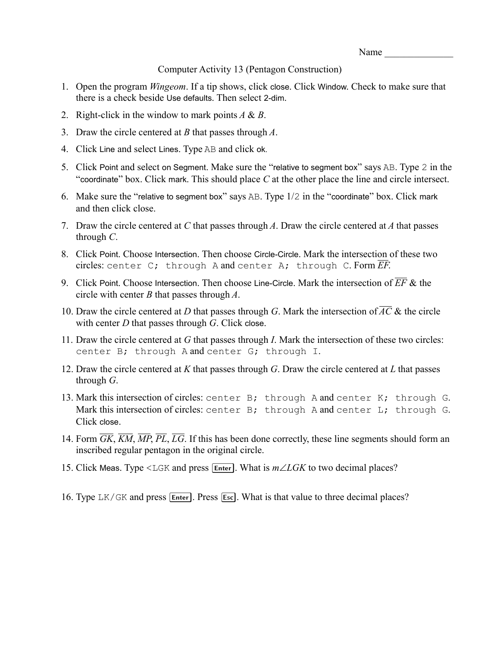#### Computer Activity 13 (Pentagon Construction)

- 1. Open the program *Wingeom*. If a tip shows, click close. Click Window. Check to make sure that there is a check beside Use defaults. Then select 2-dim.
- 2. Right-click in the window to mark points *A* & *B*.
- 3. Draw the circle centered at *B* that passes through *A*.
- 4. Click Line and select Lines. Type AB and click ok.
- 5. Click Point and select on Segment. Make sure the "relative to segment box" says AB. Type 2 in the "coordinate" box. Click mark. This should place *C* at the other place the line and circle intersect.
- 6. Make sure the "relative to segment box" says AB. Type 1/2 in the "coordinate" box. Click mark and then click close.
- 7. Draw the circle centered at *C* that passes through *A*. Draw the circle centered at *A* that passes through *C*.
- 8. Click Point. Choose Intersection. Then choose Circle-Circle. Mark the intersection of these two circles: center  $C$ ; through A and center  $A$ ; through  $C$ . Form  $\overline{EF}$ .
- 9. Click Point. Choose Intersection. Then choose Line-Circle. Mark the intersection of *EF* & the circle with center *B* that passes through *A*.
- 10. Draw the circle centered at *D* that passes through *G*. Mark the intersection of  $\overline{AC}$  & the circle with center *D* that passes through *G*. Click close.
- 11. Draw the circle centered at *G* that passes through *I*. Mark the intersection of these two circles: center B; through A and center G; through I.
- 12. Draw the circle centered at *K* that passes through *G*. Draw the circle centered at *L* that passes through *G*.
- 13. Mark this intersection of circles: center B; through A and center K; through G. Mark this intersection of circles: center B; through A and center L; through G. Click close.
- 14. Form *GK*, *KM*, *MP*, *PL*, *LG*. If this has been done correctly, these line segments should form an inscribed regular pentagon in the original circle.
- 15. Click Meas. Type <LGK and press  $\boxed{\text{Enter}}$ . What is  $m \angle LGK$  to two decimal places?
- 16. Type LK/GK and press [Enter]. Press [Esc]. What is that value to three decimal places?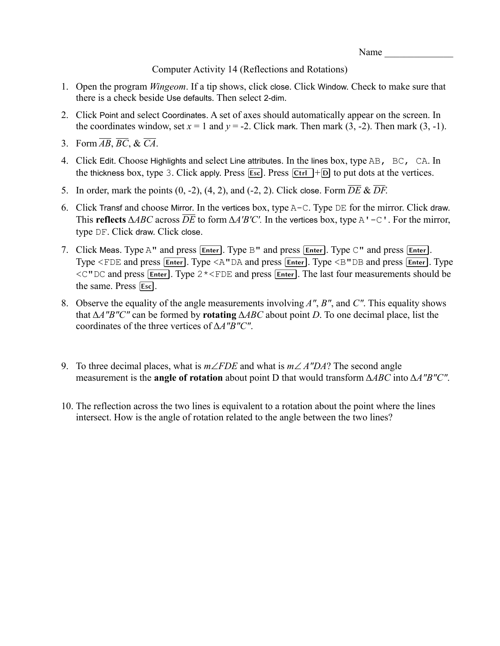Computer Activity 14 (Reflections and Rotations)

- 1. Open the program *Wingeom*. If a tip shows, click close. Click Window. Check to make sure that there is a check beside Use defaults. Then select 2-dim.
- 2. Click Point and select Coordinates. A set of axes should automatically appear on the screen. In the coordinates window, set  $x = 1$  and  $y = -2$ . Click mark. Then mark  $(3, -2)$ . Then mark  $(3, -1)$ .
- 3. Form  $\overline{AB}$ ,  $\overline{BC}$ , &  $\overline{CA}$ .
- 4. Click Edit. Choose Highlights and select Line attributes. In the lines box, type AB, BC, CA. In the thickness box, type 3. Click apply. Press  $\overline{|\text{Esc}|}$ . Press  $\overline{|\text{Ctr1}|}$  +D to put dots at the vertices.
- 5. In order, mark the points  $(0, -2)$ ,  $(4, 2)$ , and  $(-2, 2)$ . Click close. Form  $\overline{DE} \& \overline{DF}$ .
- 6. Click Transf and choose Mirror. In the vertices box, type A-C. Type DE for the mirror. Click draw. This **reflects**  $\triangle ABC$  across  $\overline{DE}$  to form  $\triangle A'B'C'$ . In the vertices box, type A'-C'. For the mirror, type DF. Click draw. Click close.
- 7. Click Meas. Type A" and press **Enter**. Type B" and press **Enter**. Type C" and press **Enter**. Type <FDE and press [Enter]. Type <A"DA and press [Enter]. Type <B"DB and press [Enter]. Type <C"DC and press **Enter**. Type 2 \*<FDE and press **Enter**. The last four measurements should be the same. Press  $\overline{\text{Esc}}$ .
- 8. Observe the equality of the angle measurements involving *A"*, *B"*, and *C"*. This equality shows that Δ*A"B"C"* can be formed by **rotating** Δ*ABC* about point *D*. To one decimal place, list the coordinates of the three vertices of Δ*A"B"C"*.
- 9. To three decimal places, what is  $m \angle FDE$  and what is  $m \angle A''DA$ ? The second angle measurement is the **angle of rotation** about point D that would transform Δ*ABC* into Δ*A"B"C"*.
- 10. The reflection across the two lines is equivalent to a rotation about the point where the lines intersect. How is the angle of rotation related to the angle between the two lines?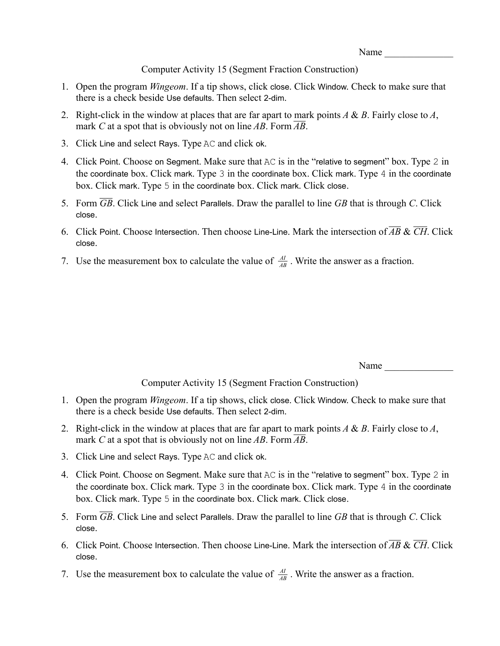Name  $\frac{1}{\sqrt{1-\frac{1}{2}}}\cdot\frac{1}{\sqrt{1-\frac{1}{2}}}\cdot\frac{1}{\sqrt{1-\frac{1}{2}}}\cdot\frac{1}{\sqrt{1-\frac{1}{2}}}\cdot\frac{1}{\sqrt{1-\frac{1}{2}}}\cdot\frac{1}{\sqrt{1-\frac{1}{2}}}\cdot\frac{1}{\sqrt{1-\frac{1}{2}}}\cdot\frac{1}{\sqrt{1-\frac{1}{2}}}\cdot\frac{1}{\sqrt{1-\frac{1}{2}}}\cdot\frac{1}{\sqrt{1-\frac{1}{2}}}\cdot\frac{1}{\sqrt{1-\frac{1}{2}}}\cdot\frac{1}{\sqrt{1-\frac{1}{2}}}\$ 

Computer Activity 15 (Segment Fraction Construction)

- 1. Open the program *Wingeom*. If a tip shows, click close. Click Window. Check to make sure that there is a check beside Use defaults. Then select 2-dim.
- 2. Right-click in the window at places that are far apart to mark points *A* & *B*. Fairly close to *A*, mark *C* at a spot that is obviously not on line AB. Form  $\overline{AB}$ .
- 3. Click Line and select Rays. Type AC and click ok.
- 4. Click Point. Choose on Segment. Make sure that AC is in the "relative to segment" box. Type 2 in the coordinate box. Click mark. Type 3 in the coordinate box. Click mark. Type 4 in the coordinate box. Click mark. Type 5 in the coordinate box. Click mark. Click close.
- 5. Form *GB*. Click Line and select Parallels. Draw the parallel to line *GB* that is through *C*. Click close.
- 6. Click Point. Choose Intersection. Then choose Line-Line. Mark the intersection of  $\overline{AB}$  &  $\overline{CH}$ . Click close.
- 7. Use the measurement box to calculate the value of  $\frac{AI}{AB}$ . Write the answer as a fraction.

Name

Computer Activity 15 (Segment Fraction Construction)

- 1. Open the program *Wingeom*. If a tip shows, click close. Click Window. Check to make sure that there is a check beside Use defaults. Then select 2-dim.
- 2. Right-click in the window at places that are far apart to mark points *A* & *B*. Fairly close to *A*, mark *C* at a spot that is obviously not on line *AB*. Form *AB*.
- 3. Click Line and select Rays. Type AC and click ok.
- 4. Click Point. Choose on Segment. Make sure that AC is in the "relative to segment" box. Type 2 in the coordinate box. Click mark. Type 3 in the coordinate box. Click mark. Type 4 in the coordinate box. Click mark. Type 5 in the coordinate box. Click mark. Click close.
- 5. Form *GB*. Click Line and select Parallels. Draw the parallel to line *GB* that is through *C*. Click close.
- 6. Click Point. Choose Intersection. Then choose Line-Line. Mark the intersection of  $\overline{AB}$  &  $\overline{CH}$ . Click close.
- 7. Use the measurement box to calculate the value of  $\frac{AI}{AB}$ . Write the answer as a fraction.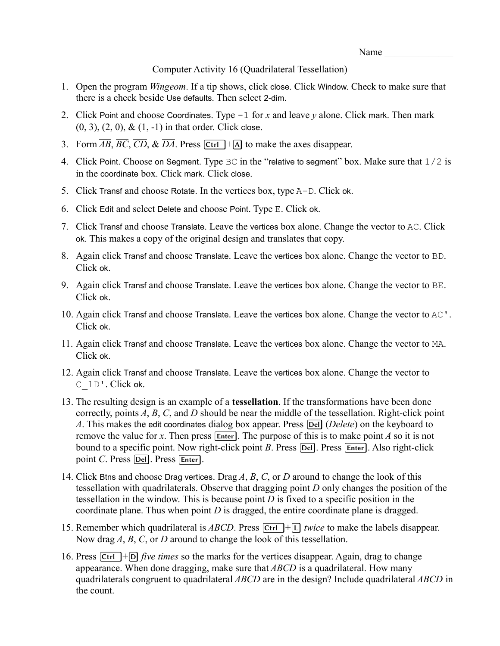Name \_\_\_\_\_\_\_\_\_\_\_\_\_\_

Computer Activity 16 (Quadrilateral Tessellation)

- 1. Open the program *Wingeom*. If a tip shows, click close. Click Window. Check to make sure that there is a check beside Use defaults. Then select 2-dim.
- 2. Click Point and choose Coordinates. Type -1 for *x* and leave *y* alone. Click mark. Then mark  $(0, 3), (2, 0), \& (1, -1)$  in that order. Click close.
- 3. Form  $\overline{AB}$ ,  $\overline{BC}$ ,  $\overline{CD}$ ,  $\&$   $\overline{DA}$ . Press  $\overline{C}$ trl  $\overline{A}$  to make the axes disappear.
- 4. Click Point. Choose on Segment. Type BC in the "relative to segment" box. Make sure that  $1/2$  is in the coordinate box. Click mark. Click close.
- 5. Click Transf and choose Rotate. In the vertices box, type A-D. Click ok.
- 6. Click Edit and select Delete and choose Point. Type E. Click ok.
- 7. Click Transf and choose Translate. Leave the vertices box alone. Change the vector to AC. Click ok. This makes a copy of the original design and translates that copy.
- 8. Again click Transf and choose Translate. Leave the vertices box alone. Change the vector to BD. Click ok.
- 9. Again click Transf and choose Translate. Leave the vertices box alone. Change the vector to BE. Click ok.
- 10. Again click Transf and choose Translate. Leave the vertices box alone. Change the vector to AC'. Click ok.
- 11. Again click Transf and choose Translate. Leave the vertices box alone. Change the vector to MA. Click ok.
- 12. Again click Transf and choose Translate. Leave the vertices box alone. Change the vector to C 1D'. Click ok.
- 13. The resulting design is an example of a **tessellation**. If the transformations have been done correctly, points *A*, *B*, *C*, and *D* should be near the middle of the tessellation. Right-click point *A*. This makes the edit coordinates dialog box appear. Press **Del** (*Delete*) on the keyboard to remove the value for x. Then press  $\boxed{\text{Enter}}$ . The purpose of this is to make point *A* so it is not bound to a specific point. Now right-click point *B*. Press **Del**. Press **Enter**. Also right-click point *C*. Press **Del**. Press **Enter**.
- 14. Click Btns and choose Drag vertices. Drag *A*, *B*, *C*, or *D* around to change the look of this tessellation with quadrilaterals. Observe that dragging point *D* only changes the position of the tessellation in the window. This is because point *D* is fixed to a specific position in the coordinate plane. Thus when point *D* is dragged, the entire coordinate plane is dragged.
- 15. Remember which quadrilateral is *ABCD*. Press  $[\text{Ctrl}]+\Box$  *twice* to make the labels disappear. Now drag *A*, *B*, *C*, or *D* around to change the look of this tessellation.
- 16. Press  $\overline{C_{tr1}}$  + $\overline{D}$  *five times* so the marks for the vertices disappear. Again, drag to change appearance. When done dragging, make sure that *ABCD* is a quadrilateral. How many quadrilaterals congruent to quadrilateral *ABCD* are in the design? Include quadrilateral *ABCD* in the count.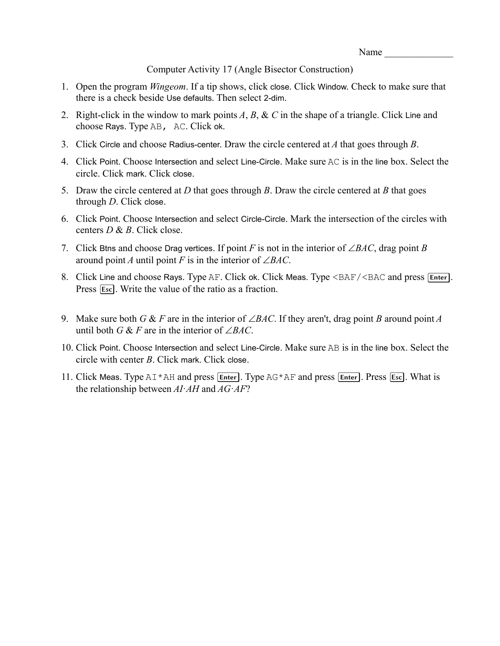Computer Activity 17 (Angle Bisector Construction)

- 1. Open the program *Wingeom*. If a tip shows, click close. Click Window. Check to make sure that there is a check beside Use defaults. Then select 2-dim.
- 2. Right-click in the window to mark points *A*, *B*, & *C* in the shape of a triangle. Click Line and choose Rays. Type AB, AC. Click ok.
- 3. Click Circle and choose Radius-center. Draw the circle centered at *A* that goes through *B*.
- 4. Click Point. Choose Intersection and select Line-Circle. Make sure AC is in the line box. Select the circle. Click mark. Click close.
- 5. Draw the circle centered at *D* that goes through *B*. Draw the circle centered at *B* that goes through *D*. Click close.
- 6. Click Point. Choose Intersection and select Circle-Circle. Mark the intersection of the circles with centers *D* & *B*. Click close.
- 7. Click Btns and choose Drag vertices. If point *F* is not in the interior of  $\angle BAC$ , drag point *B* around point *A* until point *F* is in the interior of  $\angle BAC$ .
- 8. Click Line and choose Rays. Type AF. Click ok. Click Meas. Type <BAF/<BAC and press Enter. Press **[Esc]**. Write the value of the ratio as a fraction.
- 9. Make sure both *G* & *F* are in the interior of  $\angle BAC$ . If they aren't, drag point *B* around point *A* until both *G* & *F* are in the interior of  $\angle BAC$ .
- 10. Click Point. Choose Intersection and select Line-Circle. Make sure AB is in the line box. Select the circle with center *B*. Click mark. Click close.
- 11. Click Meas. Type AI \* AH and press [Enter]. Type AG \* AF and press [Enter]. Press [Esc]. What is the relationship between *AI*·*AH* and *AG*·*AF*?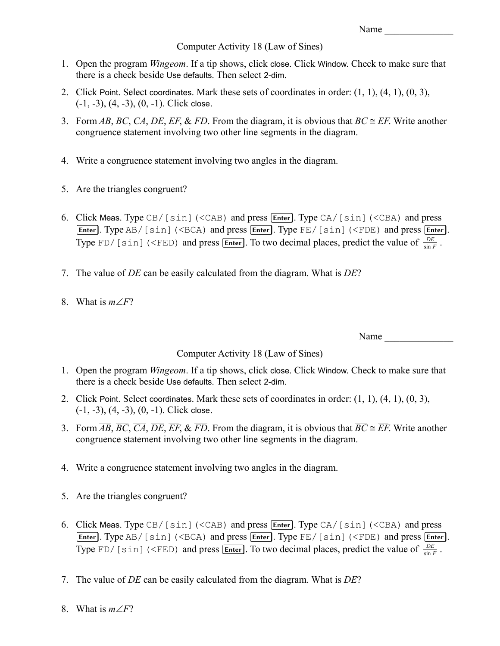Computer Activity 18 (Law of Sines)

- 1. Open the program *Wingeom*. If a tip shows, click close. Click Window. Check to make sure that there is a check beside Use defaults. Then select 2-dim.
- 2. Click Point. Select coordinates. Mark these sets of coordinates in order:  $(1, 1)$ ,  $(4, 1)$ ,  $(0, 3)$ ,  $(-1, -3), (4, -3), (0, -1)$ . Click close.
- 3. Form  $\overline{AB}$ ,  $\overline{BC}$ ,  $\overline{CA}$ ,  $\overline{DE}$ ,  $\overline{EF}$ ,  $\&$   $\overline{FD}$ . From the diagram, it is obvious that  $\overline{BC} \cong \overline{EF}$ . Write another congruence statement involving two other line segments in the diagram.
- 4. Write a congruence statement involving two angles in the diagram.
- 5. Are the triangles congruent?
- 6. Click Meas. Type CB/[sin](<CAB) and press **Enter**. Type CA/[sin](<CBA) and press Enter]. Type AB/[sin](<BCA) and press Enter]. Type FE/[sin](<FDE) and press Enter]. Type FD/[sin](<FED) and press **Enter**. To two decimal places, predict the value of  $\frac{DE}{\sin F}$ .
- 7. The value of *DE* can be easily calculated from the diagram. What is *DE*?
- 8. What is  $m \angle F$ ?

Name

# Computer Activity 18 (Law of Sines)

- 1. Open the program *Wingeom*. If a tip shows, click close. Click Window. Check to make sure that there is a check beside Use defaults. Then select 2-dim.
- 2. Click Point. Select coordinates. Mark these sets of coordinates in order: (1, 1), (4, 1), (0, 3),  $(-1, -3), (4, -3), (0, -1)$ . Click close.
- 3. Form  $\overline{AB}$ ,  $\overline{BC}$ ,  $\overline{CA}$ ,  $\overline{DE}$ ,  $\overline{EF}$ ,  $\&$   $\overline{FD}$ . From the diagram, it is obvious that  $\overline{BC} \cong \overline{EF}$ . Write another congruence statement involving two other line segments in the diagram.
- 4. Write a congruence statement involving two angles in the diagram.
- 5. Are the triangles congruent?
- 6. Click Meas. Type CB/[sin](<CAB) and press **Enter**. Type CA/[sin](<CBA) and press Enter]. Type AB/[sin](<BCA) and press Enter]. Type FE/[sin](<FDE) and press Enter]. Type FD/[sin](<FED) and press **Enter**. To two decimal places, predict the value of  $\frac{DE}{\sin F}$ .
- 7. The value of *DE* can be easily calculated from the diagram. What is *DE*?
- 8. What is  $m\angle F$ ?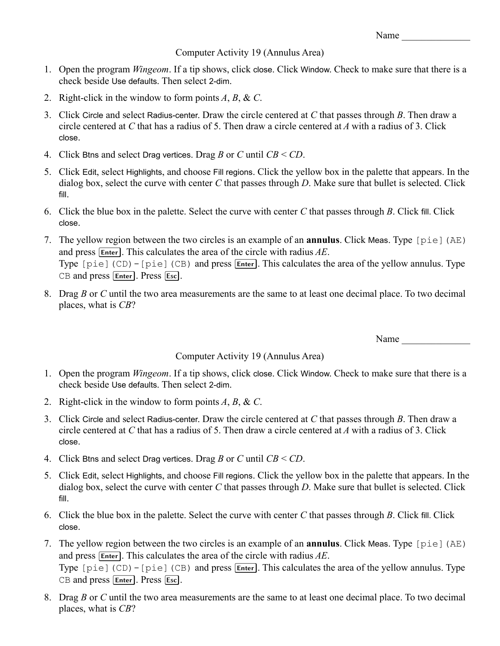Name  $\frac{1}{\sqrt{1-\frac{1}{2}}}\cdot\frac{1}{\sqrt{1-\frac{1}{2}}}\cdot\frac{1}{\sqrt{1-\frac{1}{2}}}\cdot\frac{1}{\sqrt{1-\frac{1}{2}}}\cdot\frac{1}{\sqrt{1-\frac{1}{2}}}\cdot\frac{1}{\sqrt{1-\frac{1}{2}}}\cdot\frac{1}{\sqrt{1-\frac{1}{2}}}\cdot\frac{1}{\sqrt{1-\frac{1}{2}}}\cdot\frac{1}{\sqrt{1-\frac{1}{2}}}\cdot\frac{1}{\sqrt{1-\frac{1}{2}}}\cdot\frac{1}{\sqrt{1-\frac{1}{2}}}\cdot\frac{1}{\sqrt{1-\frac{1}{2}}}\$ 

#### Computer Activity 19 (Annulus Area)

- 1. Open the program *Wingeom*. If a tip shows, click close. Click Window. Check to make sure that there is a check beside Use defaults. Then select 2-dim.
- 2. Right-click in the window to form points *A*, *B*, & *C*.
- 3. Click Circle and select Radius-center. Draw the circle centered at *C* that passes through *B*. Then draw a circle centered at *C* that has a radius of 5. Then draw a circle centered at *A* with a radius of 3. Click close.
- 4. Click Btns and select Drag vertices. Drag *B* or *C* until *CB* < *CD*.
- 5. Click Edit, select Highlights, and choose Fill regions. Click the yellow box in the palette that appears. In the dialog box, select the curve with center *C* that passes through *D*. Make sure that bullet is selected. Click fill.
- 6. Click the blue box in the palette. Select the curve with center *C* that passes through *B*. Click fill. Click close.
- 7. The yellow region between the two circles is an example of an **annulus**. Click Meas. Type [pie](AE) and press **Enter**. This calculates the area of the circle with radius AE. Type [pie] (CD) - [pie] (CB) and press **Enter**]. This calculates the area of the yellow annulus. Type CB and press **Enter**. Press **Esc**.
- 8. Drag *B* or *C* until the two area measurements are the same to at least one decimal place. To two decimal places, what is *CB*?

Name  $\Box$ 

## Computer Activity 19 (Annulus Area)

- 1. Open the program *Wingeom*. If a tip shows, click close. Click Window. Check to make sure that there is a check beside Use defaults. Then select 2-dim.
- 2. Right-click in the window to form points *A*, *B*, & *C*.
- 3. Click Circle and select Radius-center. Draw the circle centered at *C* that passes through *B*. Then draw a circle centered at *C* that has a radius of 5. Then draw a circle centered at *A* with a radius of 3. Click close.
- 4. Click Btns and select Drag vertices. Drag *B* or *C* until *CB* < *CD*.
- 5. Click Edit, select Highlights, and choose Fill regions. Click the yellow box in the palette that appears. In the dialog box, select the curve with center *C* that passes through *D*. Make sure that bullet is selected. Click fill.
- 6. Click the blue box in the palette. Select the curve with center *C* that passes through *B*. Click fill. Click close.
- 7. The yellow region between the two circles is an example of an **annulus**. Click Meas. Type [pie](AE) and press **Enter**. This calculates the area of the circle with radius AE. Type [pie] (CD) - [pie] (CB) and press **Enter**]. This calculates the area of the yellow annulus. Type CB and press **Enter**. Press **Esc**.
- 8. Drag *B* or *C* until the two area measurements are the same to at least one decimal place. To two decimal places, what is *CB*?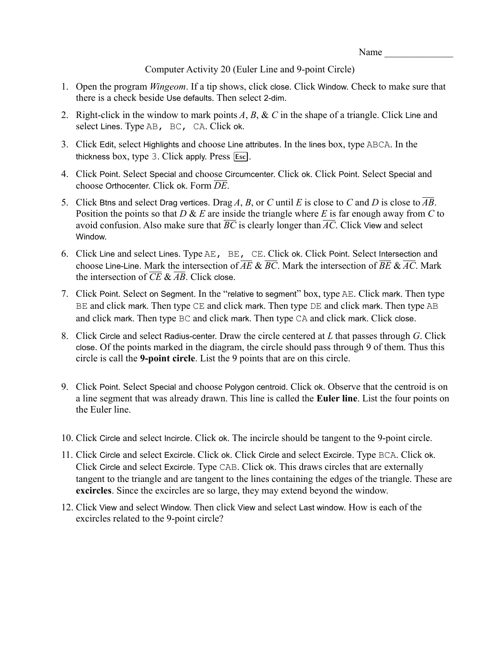Name \_\_\_\_\_\_\_\_\_\_\_\_\_\_

Computer Activity 20 (Euler Line and 9-point Circle)

- 1. Open the program *Wingeom*. If a tip shows, click close. Click Window. Check to make sure that there is a check beside Use defaults. Then select 2-dim.
- 2. Right-click in the window to mark points *A*, *B*, & *C* in the shape of a triangle. Click Line and select Lines. Type AB, BC, CA. Click ok.
- 3. Click Edit, select Highlights and choose Line attributes. In the lines box, type ABCA. In the thickness box, type  $3$ . Click apply. Press  $\overline{\text{Esc}}$ .
- 4. Click Point. Select Special and choose Circumcenter. Click ok. Click Point. Select Special and choose Orthocenter. Click ok. Form *DE*.
- 5. Click Btns and select Drag vertices. Drag *A*, *B*, or *C* until *E* is close to *C* and *D* is close to *AB*. Position the points so that *D* & *E* are inside the triangle where *E* is far enough away from *C* to avoid confusion. Also make sure that  $\overline{BC}$  is clearly longer than  $\overline{AC}$ . Click View and select Window.
- 6. Click Line and select Lines. Type AE, BE, CE. Click ok. Click Point. Select Intersection and choose Line-Line. Mark the intersection of *AE* & *BC*. Mark the intersection of *BE* & *AC*. Mark the intersection of  $\overline{CE} \& \overline{AB}$ . Click close.
- 7. Click Point. Select on Segment. In the "relative to segment" box, type AE. Click mark. Then type BE and click mark. Then type CE and click mark. Then type DE and click mark. Then type AB and click mark. Then type BC and click mark. Then type CA and click mark. Click close.
- 8. Click Circle and select Radius-center. Draw the circle centered at *L* that passes through *G*. Click close. Of the points marked in the diagram, the circle should pass through 9 of them. Thus this circle is call the **9-point circle**. List the 9 points that are on this circle.
- 9. Click Point. Select Special and choose Polygon centroid. Click ok. Observe that the centroid is on a line segment that was already drawn. This line is called the **Euler line**. List the four points on the Euler line.
- 10. Click Circle and select Incircle. Click ok. The incircle should be tangent to the 9-point circle.
- 11. Click Circle and select Excircle. Click ok. Click Circle and select Excircle. Type BCA. Click ok. Click Circle and select Excircle. Type CAB. Click ok. This draws circles that are externally tangent to the triangle and are tangent to the lines containing the edges of the triangle. These are **excircles**. Since the excircles are so large, they may extend beyond the window.
- 12. Click View and select Window. Then click View and select Last window. How is each of the excircles related to the 9-point circle?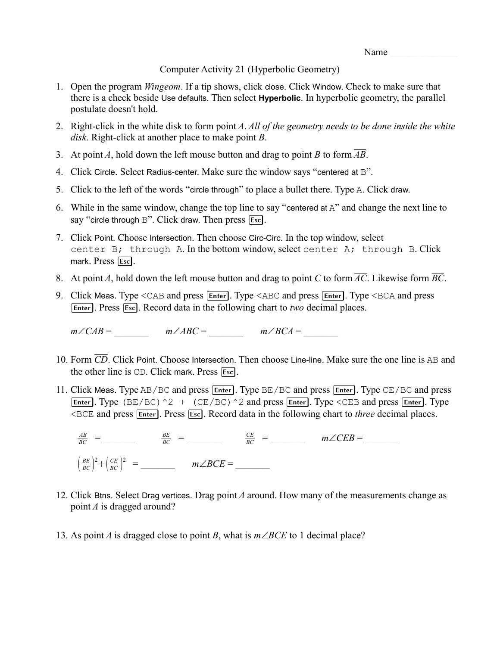Computer Activity 21 (Hyperbolic Geometry)

- 1. Open the program *Wingeom*. If a tip shows, click close. Click Window. Check to make sure that there is a check beside Use defaults. Then select **Hyperbolic**. In hyperbolic geometry, the parallel postulate doesn't hold.
- 2. Right-click in the white disk to form point *A*. *All of the geometry needs to be done inside the white disk*. Right-click at another place to make point *B*.
- 3. At point *A*, hold down the left mouse button and drag to point *B* to form *AB*.
- 4. Click Circle. Select Radius-center. Make sure the window says "centered at B".
- 5. Click to the left of the words "circle through" to place a bullet there. Type A. Click draw.
- 6. While in the same window, change the top line to say "centered at A" and change the next line to say "circle through  $B$ ". Click draw. Then press  $\overline{Esc}$ .
- 7. Click Point. Choose Intersection. Then choose Circ-Circ. In the top window, select center B; through A. In the bottom window, select center A; through B. Click mark. Press Esc.
- 8. At point *A*, hold down the left mouse button and drag to point *C* to form  $\overline{AC}$ . Likewise form  $\overline{BC}$ .
- 9. Click Meas. Type <CAB and press [Enter]. Type <ABC and press [Enter]. Type <BCA and press Enter]. Press [Esc]. Record data in the following chart to *two* decimal places.

 $m\angle CAB =$   $m\angle ABC =$   $m\angle BCA =$ 

- 10. Form *CD*. Click Point. Choose Intersection. Then choose Line-line. Make sure the one line is AB and the other line is  $CD$ . Click mark. Press  $\overline{Esc}$ .
- 11. Click Meas. Type AB/BC and press [Enter]. Type BE/BC and press [Enter]. Type CE/BC and press Enter]. Type (BE/BC) ^2 + (CE/BC) ^2 and press  $[Enter]$ . Type <CEB and press  $[Enter]$ . Type <BCE and press **Enter**. Press **Esc**. Record data in the following chart to *three* decimal places.

*AB BC* = \_\_\_\_\_\_\_ *BE BC* = \_\_\_\_\_\_\_ *CE BC* = \_\_\_\_\_\_\_ *mCEB* = \_\_\_\_\_\_\_ ( *BE BC* ) <sup>2</sup>+( *CE BC* ) 2 = \_\_\_\_\_\_\_ *mBCE* = \_\_\_\_\_\_\_

- 12. Click Btns. Select Drag vertices. Drag point *A* around. How many of the measurements change as point *A* is dragged around?
- 13. As point *A* is dragged close to point *B*, what is  $m \angle BCE$  to 1 decimal place?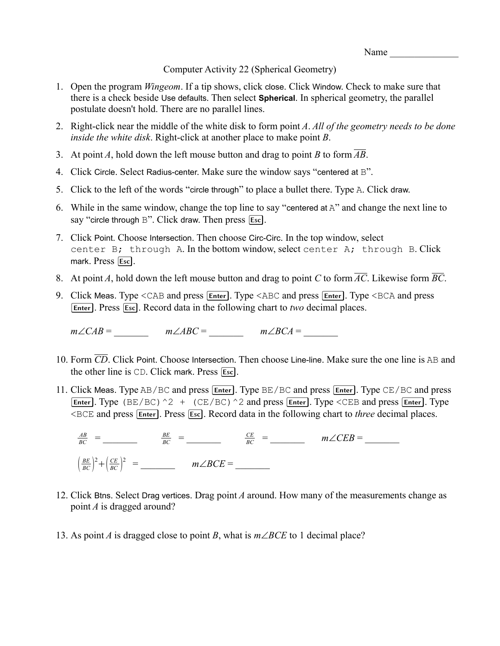Name  $\qquad \qquad$ 

#### Computer Activity 22 (Spherical Geometry)

- 1. Open the program *Wingeom*. If a tip shows, click close. Click Window. Check to make sure that there is a check beside Use defaults. Then select **Spherical**. In spherical geometry, the parallel postulate doesn't hold. There are no parallel lines.
- 2. Right-click near the middle of the white disk to form point *A*. *All of the geometry needs to be done inside the white disk*. Right-click at another place to make point *B*.
- 3. At point *A*, hold down the left mouse button and drag to point *B* to form *AB*.
- 4. Click Circle. Select Radius-center. Make sure the window says "centered at B".
- 5. Click to the left of the words "circle through" to place a bullet there. Type A. Click draw.
- 6. While in the same window, change the top line to say "centered at A" and change the next line to say "circle through  $B$ ". Click draw. Then press  $\overline{Esc}$ .
- 7. Click Point. Choose Intersection. Then choose Circ-Circ. In the top window, select center B; through A. In the bottom window, select center A; through B. Click mark. Press Esc.
- 8. At point *A*, hold down the left mouse button and drag to point *C* to form  $\overline{AC}$ . Likewise form  $\overline{BC}$ .
- 9. Click Meas. Type <CAB and press [Enter]. Type <ABC and press [Enter]. Type <BCA and press Enter]. Press [Esc]. Record data in the following chart to *two* decimal places.

 $m\angle CAB =$   $m\angle ABC =$   $m\angle BCA =$ 

- 10. Form *CD*. Click Point. Choose Intersection. Then choose Line-line. Make sure the one line is AB and the other line is  $CD$ . Click mark. Press  $\overline{Esc}$ .
- 11. Click Meas. Type AB/BC and press [Enter]. Type BE/BC and press [Enter]. Type CE/BC and press Enter]. Type (BE/BC) ^2 + (CE/BC) ^2 and press  $[Enter]$ . Type <CEB and press  $[Enter]$ . Type <BCE and press **Enter**. Press **Esc**. Record data in the following chart to *three* decimal places.

*AB BC* = \_\_\_\_\_\_\_ *BE BC* = \_\_\_\_\_\_\_ *CE BC* = \_\_\_\_\_\_\_ *mCEB* = \_\_\_\_\_\_\_ ( *BE BC* ) <sup>2</sup>+( *CE BC* ) 2 = \_\_\_\_\_\_\_ *mBCE* = \_\_\_\_\_\_\_

- 12. Click Btns. Select Drag vertices. Drag point *A* around. How many of the measurements change as point *A* is dragged around?
- 13. As point *A* is dragged close to point *B*, what is  $m \angle BCE$  to 1 decimal place?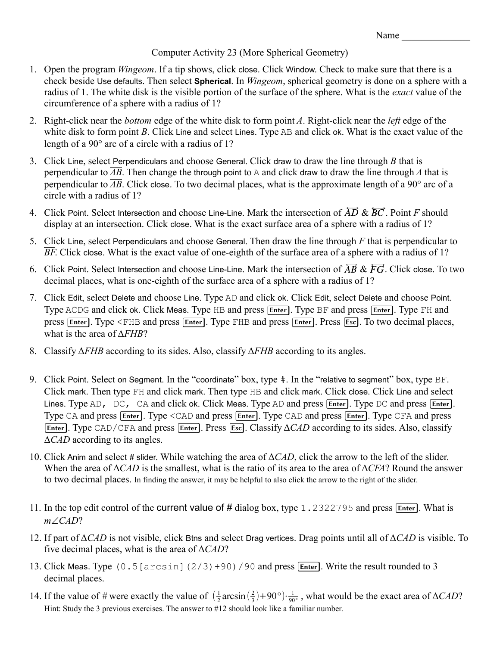# Computer Activity 23 (More Spherical Geometry)

- 1. Open the program *Wingeom*. If a tip shows, click close. Click Window. Check to make sure that there is a check beside Use defaults. Then select **Spherical**. In *Wingeom*, spherical geometry is done on a sphere with a radius of 1. The white disk is the visible portion of the surface of the sphere. What is the *exact* value of the circumference of a sphere with a radius of 1?
- 2. Right-click near the *bottom* edge of the white disk to form point *A*. Right-click near the *left* edge of the white disk to form point *B*. Click Line and select Lines. Type AB and click ok. What is the exact value of the length of a 90° arc of a circle with a radius of 1?
- 3. Click Line, select Perpendiculars and choose General. Click draw to draw the line through *B* that is perpendicular to *AB*. Then change the through point to A and click draw to draw the line through *A* that is perpendicular to  $\overline{AB}$ . Click close. To two decimal places, what is the approximate length of a 90° arc of a circle with a radius of 1?
- 4. Click Point. Select Intersection and choose Line-Line. Mark the intersection of  $\overleftrightarrow{AD}$  &  $\overleftrightarrow{BC}$ . Point *F* should display at an intersection. Click close. What is the exact surface area of a sphere with a radius of 1?
- 5. Click Line, select Perpendiculars and choose General. Then draw the line through *F* that is perpendicular to *BF*. Click close. What is the exact value of one-eighth of the surface area of a sphere with a radius of 1?
- 6. Click Point. Select Intersection and choose Line-Line. Mark the intersection of  $\overline{AB}$  &  $\overline{FG}$ . Click close. To two decimal places, what is one-eighth of the surface area of a sphere with a radius of 1?
- 7. Click Edit, select Delete and choose Line. Type AD and click ok. Click Edit, select Delete and choose Point. Type ACDG and click ok. Click Meas. Type HB and press [Enter]. Type BF and press [Enter]. Type FH and press **Enter**. Type <FHB and press **Enter**. Type FHB and press **Enter**. Press **Esc**. To two decimal places, what is the area of Δ*FHB*?
- 8. Classify Δ*FHB* according to its sides. Also, classify Δ*FHB* according to its angles.
- 9. Click Point. Select on Segment. In the "coordinate" box, type #. In the "relative to segment" box, type BF. Click mark. Then type FH and click mark. Then type HB and click mark. Click close. Click Line and select Lines. Type AD,  $DC$ ,  $CA$  and click ok. Click Meas. Type AD and press  $[Enter]$ . Type DC and press  $[Enter]$ . Type CA and press Enter]. Type <CAD and press Enter]. Type CAD and press Enter]. Type CFA and press Enter]. Type CAD/CFA and press **Enter**]. Press **Esc**. Classify Δ*CAD* according to its sides. Also, classify Δ*CAD* according to its angles.
- 10. Click Anim and select # slider. While watching the area of Δ*CAD*, click the arrow to the left of the slider. When the area of Δ*CAD* is the smallest, what is the ratio of its area to the area of Δ*CFA*? Round the answer to two decimal places. In finding the answer, it may be helpful to also click the arrow to the right of the slider.
- 11. In the top edit control of the current value of  $#$  dialog box, type 1.2322795 and press  $[Enter]$ . What is *mCAD*?
- 12. If part of Δ*CAD* is not visible, click Btns and select Drag vertices. Drag points until all of Δ*CAD* is visible. To five decimal places, what is the area of Δ*CAD*?
- 13. Click Meas. Type  $(0.5[arcsin] (2/3)+90)/90$  and press  $\boxed{\text{Enter}}$ . Write the result rounded to 3 decimal places.
- 14. If the value of # were exactly the value of  $(\frac{1}{2})$  $\frac{1}{2}$  arcsin $\left(\frac{2}{3}\right)$  $(\frac{2}{3})+90^{\circ})\cdot\frac{1}{90}$ 90*°* , what would be the exact area of Δ*CAD*? Hint: Study the 3 previous exercises. The answer to #12 should look like a familiar number.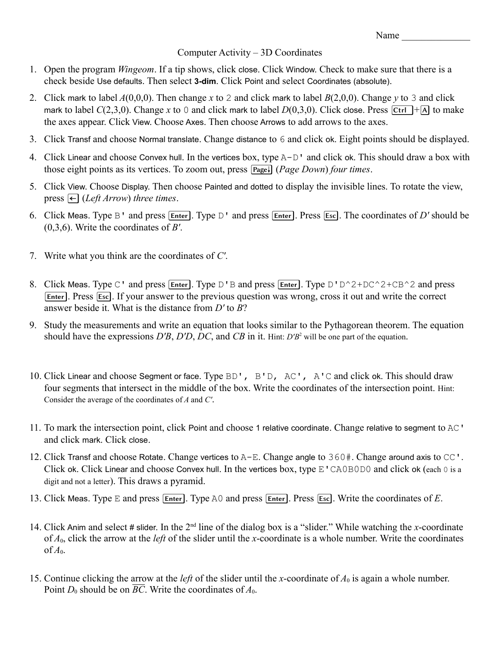#### Computer Activity – 3D Coordinates

- 1. Open the program *Wingeom*. If a tip shows, click close. Click Window. Check to make sure that there is a check beside Use defaults. Then select **3-dim**. Click Point and select Coordinates (absolute).
- 2. Click mark to label  $A(0,0,0)$ . Then change x to 2 and click mark to label  $B(2,0,0)$ . Change y to 3 and click mark to label *C*(2,3,0). Change *x* to 0 and click mark to label *D*(0,3,0). Click close. Press  $\overline{C_{tr1}} + \overline{A}$  to make the axes appear. Click View. Choose Axes. Then choose Arrows to add arrows to the axes.
- 3. Click Transf and choose Normal translate. Change distance to 6 and click ok. Eight points should be displayed.
- 4. Click Linear and choose Convex hull. In the vertices box, type A-D' and click ok. This should draw a box with those eight points as its vertices. To zoom out, press (*Page Down*) *four times*.
- 5. Click View. Choose Display. Then choose Painted and dotted to display the invisible lines. To rotate the view, press  $\leftarrow$  (*Left Arrow*) *three times.*
- 6. Click Meas. Type B' and press Enter. Type D' and press Enter. Press Esc. The coordinates of *D'* should be (0,3,6). Write the coordinates of *B'*.
- 7. Write what you think are the coordinates of *C'*.
- 8. Click Meas. Type C' and press Enter. Type D'B and press Enter. Type D'D^2+DC^2+CB^2 and press Enter]. Press [Esc]. If your answer to the previous question was wrong, cross it out and write the correct answer beside it. What is the distance from *D'* to *B*?
- 9. Study the measurements and write an equation that looks similar to the Pythagorean theorem. The equation should have the expressions *D'B*, *D'D*, *DC*, and *CB* in it. Hint: *D'B*<sup>2</sup> will be one part of the equation.
- 10. Click Linear and choose Segment or face. Type BD', B'D, AC', A'C and click ok. This should draw four segments that intersect in the middle of the box. Write the coordinates of the intersection point. Hint: Consider the average of the coordinates of *A* and *C'*.
- 11. To mark the intersection point, click Point and choose 1 relative coordinate. Change relative to segment to AC' and click mark. Click close.
- 12. Click Transf and choose Rotate. Change vertices to A-E. Change angle to 360#. Change around axis to CC'. Click ok. Click Linear and choose Convex hull. In the vertices box, type E'CA0B0D0 and click ok (each 0 is a digit and not a letter). This draws a pyramid.
- 13. Click Meas. Type E and press **Enter**. Type A0 and press **Enter**. Press **Esc**. Write the coordinates of *E*.
- 14. Click Anim and select # slider. In the 2nd line of the dialog box is a "slider." While watching the *x*-coordinate of *A*0, click the arrow at the *left* of the slider until the *x*-coordinate is a whole number. Write the coordinates of  $A_0$ .
- 15. Continue clicking the arrow at the *left* of the slider until the *x*-coordinate of  $A_0$  is again a whole number. Point  $D_0$  should be on  $\overline{BC}$ . Write the coordinates of  $A_0$ .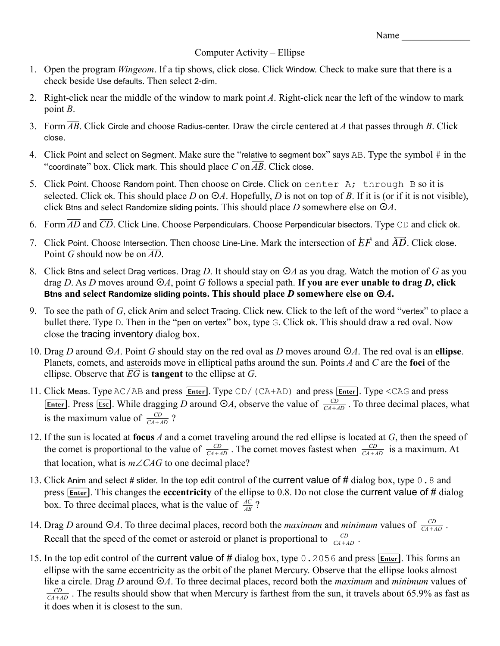Name \_\_\_\_\_\_\_\_\_\_\_\_\_\_

## Computer Activity – Ellipse

- 1. Open the program *Wingeom*. If a tip shows, click close. Click Window. Check to make sure that there is a check beside Use defaults. Then select 2-dim.
- 2. Right-click near the middle of the window to mark point *A*. Right-click near the left of the window to mark point *B*.
- 3. Form *AB*. Click Circle and choose Radius-center. Draw the circle centered at *A* that passes through *B*. Click close.
- 4. Click Point and select on Segment. Make sure the "relative to segment box" says AB. Type the symbol # in the "coordinate" box. Click mark. This should place  $C$  on  $\overline{AB}$ . Click close.
- 5. Click Point. Choose Random point. Then choose on Circle. Click on center A; through B so it is selected. Click ok. This should place *D* on  $\odot A$ . Hopefully, *D* is not on top of *B*. If it is (or if it is not visible), click Btns and select Randomize sliding points. This should place *D* somewhere else on *A*.
- 6. Form  $\overline{AD}$  and  $\overline{CD}$ . Click Line. Choose Perpendiculars. Choose Perpendicular bisectors. Type CD and click ok.
- 7. Click Point. Choose Intersection. Then choose Line-Line. Mark the intersection of  $E\vec{F}$  and  $\overleftrightarrow{AD}$ . Click close. Point *G* should now be on *AD*.
- 8. Click Btns and select Drag vertices. Drag D. It should stay on  $\odot A$  as you drag. Watch the motion of *G* as you drag *D*. As *D* moves around  $\odot$ *A*, point *G* follows a special path. If you are ever unable to drag *D*, click **Btns and select Randomize sliding points. This should place** *D* **somewhere else on** *A***.**
- 9. To see the path of *G*, click Anim and select Tracing. Click new. Click to the left of the word "vertex" to place a bullet there. Type D. Then in the "pen on vertex" box, type G. Click ok. This should draw a red oval. Now close the tracing inventory dialog box.
- 10. Drag *D* around  $\odot$ *A*. Point *G* should stay on the red oval as *D* moves around  $\odot$ *A*. The red oval is an ellipse. Planets, comets, and asteroids move in elliptical paths around the sun. Points *A* and *C* are the **foci** of the ellipse. Observe that *EG* is **tangent** to the ellipse at *G*.
- 11. Click Meas. Type AC/AB and press **Enter**. Type CD/(CA+AD) and press **Enter**. Type <CAG and press Enter]. Press [Esc]. While dragging *D* around  $\odot A$ , observe the value of  $\frac{CD}{CA+AD}$ . To three decimal places, what is the maximum value of  $\frac{CD}{CA+AD}$ ?
- 12. If the sun is located at **focus** *A* and a comet traveling around the red ellipse is located at *G*, then the speed of the comet is proportional to the value of  $\frac{CD}{CA+AD}$ . The comet moves fastest when  $\frac{CD}{CA+AD}$  is a maximum. At that location, what is  $m \angle CAG$  to one decimal place?
- 13. Click Anim and select # slider. In the top edit control of the current value of # dialog box, type 0.8 and press **Enter**. This changes the **eccentricity** of the ellipse to 0.8. Do not close the current value of # dialog box. To three decimal places, what is the value of  $\frac{AC}{AB}$ ?
- 14. Drag *D* around  $\odot$ *A*. To three decimal places, record both the *maximum* and *minimum* values of  $\frac{CD}{CA+AD}$ . Recall that the speed of the comet or asteroid or planet is proportional to  $\frac{CD}{CA+AD}$ .
- 15. In the top edit control of the current value of # dialog box, type 0.2056 and press Enter. This forms an ellipse with the same eccentricity as the orbit of the planet Mercury. Observe that the ellipse looks almost like a circle. Drag *D* around  $\odot A$ . To three decimal places, record both the *maximum* and *minimum* values of  $\frac{CD}{CA+AD}$ . The results should show that when Mercury is farthest from the sun, it travels about 65.9% as fast as it does when it is closest to the sun.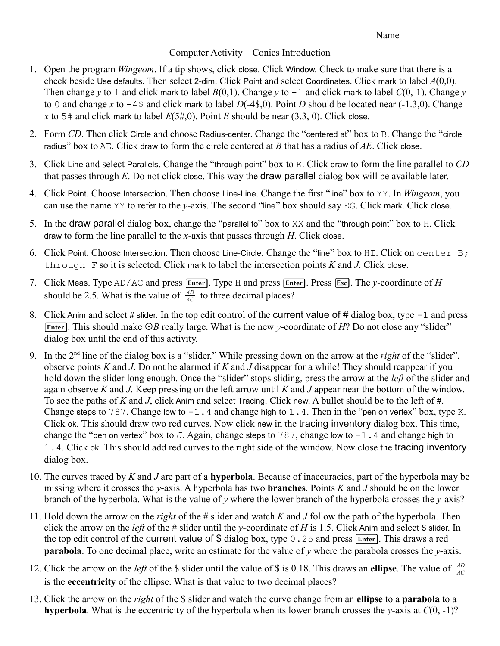# Computer Activity – Conics Introduction

- 1. Open the program *Wingeom*. If a tip shows, click close. Click Window. Check to make sure that there is a check beside Use defaults. Then select 2-dim. Click Point and select Coordinates. Click mark to label *A*(0,0). Then change *y* to 1 and click mark to label  $B(0,1)$ . Change *y* to  $-1$  and click mark to label  $C(0,-1)$ . Change *y* to 0 and change *x* to  $-4\frac{1}{2}$  and click mark to label *D*( $-4\frac{1}{2}$ ,0). Point *D* should be located near (-1.3,0). Change *x* to 5# and click mark to label  $E(5#,0)$ . Point *E* should be near (3.3, 0). Click close.
- 2. Form  $\overline{CD}$ . Then click Circle and choose Radius-center. Change the "centered at" box to B. Change the "circle radius" box to AE. Click draw to form the circle centered at *B* that has a radius of *AE*. Click close.
- 3. Click Line and select Parallels. Change the "through point" box to E. Click draw to form the line parallel to *CD* that passes through *E*. Do not click close. This way the draw parallel dialog box will be available later.
- 4. Click Point. Choose Intersection. Then choose Line-Line. Change the first "line" box to YY. In *Wingeom*, you can use the name YY to refer to the *y*-axis. The second "line" box should say EG. Click mark. Click close.
- 5. In the draw parallel dialog box, change the "parallel to" box to XX and the "through point" box to H. Click draw to form the line parallel to the *x*-axis that passes through *H*. Click close.
- 6. Click Point. Choose Intersection. Then choose Line-Circle. Change the "line" box to HI. Click on center B; through  $F$  so it is selected. Click mark to label the intersection points  $K$  and  $J$ . Click close.
- 7. Click Meas. Type AD/AC and press Enter]. Type H and press Enter]. Press Esc]. The *y*-coordinate of *H* should be 2.5. What is the value of  $\frac{AD}{AC}$  to three decimal places?
- 8. Click Anim and select # slider. In the top edit control of the current value of # dialog box, type -1 and press Enter]. This should make OB really large. What is the new *y*-coordinate of *H*? Do not close any "slider" dialog box until the end of this activity.
- 9. In the 2nd line of the dialog box is a "slider." While pressing down on the arrow at the *right* of the "slider", observe points *K* and *J*. Do not be alarmed if *K* and *J* disappear for a while! They should reappear if you hold down the slider long enough. Once the "slider" stops sliding, press the arrow at the *left* of the slider and again observe *K* and *J*. Keep pressing on the left arrow until *K* and *J* appear near the bottom of the window. To see the paths of *K* and *J*, click Anim and select Tracing. Click new. A bullet should be to the left of #. Change steps to 787. Change low to  $-1.4$  and change high to 1.4. Then in the "pen on vertex" box, type K. Click ok. This should draw two red curves. Now click new in the tracing inventory dialog box. This time, change the "pen on vertex" box to J. Again, change steps to  $787$ , change low to  $-1.4$  and change high to 1.4. Click ok. This should add red curves to the right side of the window. Now close the tracing inventory dialog box.
- 10. The curves traced by *K* and *J* are part of a **hyperbola**. Because of inaccuracies, part of the hyperbola may be missing where it crosses the *y*-axis. A hyperbola has two **branches**. Points *K* and *J* should be on the lower branch of the hyperbola. What is the value of *y* where the lower branch of the hyperbola crosses the *y*-axis?
- 11. Hold down the arrow on the *right* of the # slider and watch *K* and *J* follow the path of the hyperbola. Then click the arrow on the *left* of the # slider until the *y*-coordinate of *H* is 1.5. Click Anim and select \$ slider. In the top edit control of the current value of  $$$  dialog box, type 0.25 and press Enter. This draws a red **parabola**. To one decimal place, write an estimate for the value of *y* where the parabola crosses the *y*-axis.
- 12. Click the arrow on the *left* of the \$ slider until the value of \$ is 0.18. This draws an **ellipse**. The value of  $\frac{AD}{AC}$ is the **eccentricity** of the ellipse. What is that value to two decimal places?
- 13. Click the arrow on the *right* of the \$ slider and watch the curve change from an **ellipse** to a **parabola** to a **hyperbola**. What is the eccentricity of the hyperbola when its lower branch crosses the *y*-axis at *C*(0, -1)?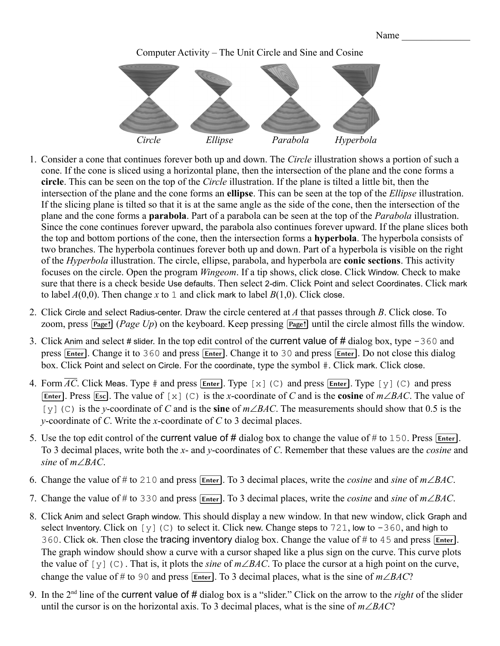Computer Activity – The Unit Circle and Sine and Cosine



- 1. Consider a cone that continues forever both up and down. The *Circle* illustration shows a portion of such a cone. If the cone is sliced using a horizontal plane, then the intersection of the plane and the cone forms a **circle**. This can be seen on the top of the *Circle* illustration. If the plane is tilted a little bit, then the intersection of the plane and the cone forms an **ellipse**. This can be seen at the top of the *Ellipse* illustration. If the slicing plane is tilted so that it is at the same angle as the side of the cone, then the intersection of the plane and the cone forms a **parabola**. Part of a parabola can be seen at the top of the *Parabola* illustration. Since the cone continues forever upward, the parabola also continues forever upward. If the plane slices both the top and bottom portions of the cone, then the intersection forms a **hyperbola**. The hyperbola consists of two branches. The hyperbola continues forever both up and down. Part of a hyperbola is visible on the right of the *Hyperbola* illustration. The circle, ellipse, parabola, and hyperbola are **conic sections**. This activity focuses on the circle. Open the program *Wingeom*. If a tip shows, click close. Click Window. Check to make sure that there is a check beside Use defaults. Then select 2-dim. Click Point and select Coordinates. Click mark to label  $A(0,0)$ . Then change x to 1 and click mark to label  $B(1,0)$ . Click close.
- 2. Click Circle and select Radius-center. Draw the circle centered at *A* that passes through *B*. Click close. To zoom, press  $\lceil \text{Page} \rceil$  (*Page Up*) on the keyboard. Keep pressing  $\lceil \text{Page} \rceil$  until the circle almost fills the window.
- 3. Click Anim and select # slider. In the top edit control of the current value of # dialog box, type -360 and press **Enter**. Change it to 360 and press **Enter**. Change it to 30 and press **Enter**. Do not close this dialog box. Click Point and select on Circle. For the coordinate, type the symbol #. Click mark. Click close.
- 4. Form AC. Click Meas. Type # and press  $\boxed{\mathsf{Enter}}$ . Type [x](C) and press  $\boxed{\mathsf{Enter}}$ . Type [y](C) and press Enter]. Press [Esc]. The value of [x](C) is the *x*-coordinate of *C* and is the **cosine** of  $m\angle BAC$ . The value of [y](C) is the *y*-coordinate of *C* and is the **sine** of  $m\angle BAC$ . The measurements should show that 0.5 is the *y*-coordinate of *C*. Write the *x*-coordinate of *C* to 3 decimal places.
- 5. Use the top edit control of the current value of  $\#$  dialog box to change the value of  $\#$  to 150. Press  $[Enter]$ . To 3 decimal places, write both the *x*- and *y*-coordinates of *C*. Remember that these values are the *cosine* and *sine* of  $m\angle BAC$ .
- 6. Change the value of # to 210 and press  $\boxed{\text{Enter}}$ . To 3 decimal places, write the *cosine* and *sine* of  $m\angle BAC$ .
- 7. Change the value of # to 330 and press  $\boxed{\text{Enter}}$ . To 3 decimal places, write the *cosine* and *sine* of  $m\angle BAC$ .
- 8. Click Anim and select Graph window. This should display a new window. In that new window, click Graph and select Inventory. Click on [y](C) to select it. Click new. Change steps to 721, low to  $-360$ , and high to 360. Click ok. Then close the tracing inventory dialog box. Change the value of # to 45 and press  $\boxed{\text{Enter}}$ . The graph window should show a curve with a cursor shaped like a plus sign on the curve. This curve plots the value of  $[y](C)$ . That is, it plots the *sine* of  $m\angle BAC$ . To place the cursor at a high point on the curve, change the value of # to 90 and press  $\boxed{\text{Enter}}$ . To 3 decimal places, what is the sine of  $m\angle BAC$ ?
- 9. In the 2nd line of the current value of # dialog box is a "slider." Click on the arrow to the *right* of the slider until the cursor is on the horizontal axis. To 3 decimal places, what is the sine of  $m\angle BAC$ ?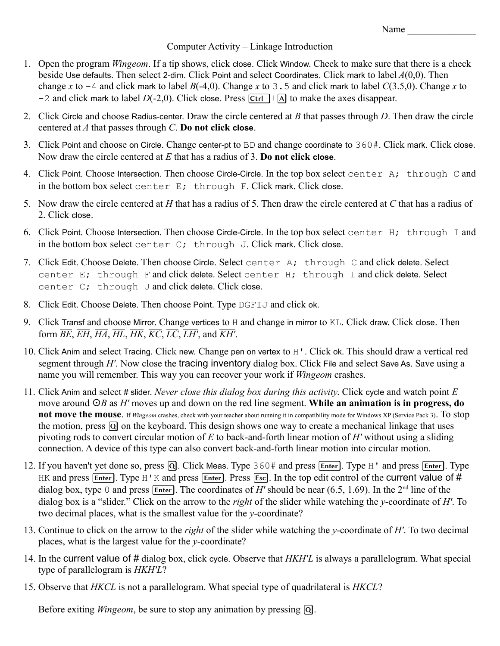## Computer Activity – Linkage Introduction

- 1. Open the program *Wingeom*. If a tip shows, click close. Click Window. Check to make sure that there is a check beside Use defaults. Then select 2-dim. Click Point and select Coordinates. Click mark to label *A*(0,0). Then change *x* to  $-4$  and click mark to label *B*( $-4,0$ ). Change *x* to 3.5 and click mark to label *C*(3.5,0). Change *x* to  $-2$  and click mark to label  $D(-2,0)$ . Click close. Press  $\overline{C_{tr}}$  +A to make the axes disappear.
- 2. Click Circle and choose Radius-center. Draw the circle centered at *B* that passes through *D*. Then draw the circle centered at *A* that passes through *C*. **Do not click close**.
- 3. Click Point and choose on Circle. Change center-pt to BD and change coordinate to 360#. Click mark. Click close. Now draw the circle centered at *E* that has a radius of 3. **Do not click close**.
- 4. Click Point. Choose Intersection. Then choose Circle-Circle. In the top box select center A; through C and in the bottom box select center E; through F. Click mark. Click close.
- 5. Now draw the circle centered at *H* that has a radius of 5. Then draw the circle centered at *C* that has a radius of 2. Click close.
- 6. Click Point. Choose Intersection. Then choose Circle-Circle. In the top box select center H; through I and in the bottom box select center C; through J. Click mark. Click close.
- 7. Click Edit. Choose Delete. Then choose Circle. Select center A; through C and click delete. Select center E; through F and click delete. Select center H; through I and click delete. Select center C; through J and click delete. Click close.
- 8. Click Edit. Choose Delete. Then choose Point. Type DGFIJ and click ok.
- 9. Click Transf and choose Mirror. Change vertices to H and change in mirror to KL. Click draw. Click close. Then form  $\overline{BE}$ ,  $\overline{EH}$ ,  $\overline{HA}$ ,  $\overline{HL}$ ,  $\overline{HK}$ ,  $\overline{KC}$ ,  $\overline{LC}$ ,  $\overline{LH}'$ , and  $\overline{KH'}$ .
- 10. Click Anim and select Tracing. Click new. Change pen on vertex to H'. Click ok. This should draw a vertical red segment through *H'*. Now close the tracing inventory dialog box. Click File and select Save As. Save using a name you will remember. This way you can recover your work if *Wingeom* crashes.
- 11. Click Anim and select # slider. *Never close this dialog box during this activity*. Click cycle and watch point *E* move around *B* as *H'* moves up and down on the red line segment. **While an animation is in progress, do not move the mouse**. If *Wingeom* crashes, check with your teacher about running it in compatibility mode for Windows XP (Service Pack 3). To stop the motion, press  $\overline{Q}$  on the keyboard. This design shows one way to create a mechanical linkage that uses pivoting rods to convert circular motion of *E* to back-and-forth linear motion of *H'* without using a sliding connection. A device of this type can also convert back-and-forth linear motion into circular motion.
- 12. If you haven't yet done so, press **Q**. Click Meas. Type 360# and press **Enter**. Type H' and press **Enter**. Type HK and press Enter]. Type H'K and press Enter]. Press Esc]. In the top edit control of the current value of # dialog box, type 0 and press  $[Enter]$ . The coordinates of *H'* should be near (6.5, 1.69). In the 2<sup>nd</sup> line of the dialog box is a "slider." Click on the arrow to the *right* of the slider while watching the *y*-coordinate of *H'*. To two decimal places, what is the smallest value for the *y*-coordinate?
- 13. Continue to click on the arrow to the *right* of the slider while watching the *y*-coordinate of *H'*. To two decimal places, what is the largest value for the *y*-coordinate?
- 14. In the current value of # dialog box, click cycle. Observe that *HKH'L* is always a parallelogram. What special type of parallelogram is *HKH'L*?
- 15. Observe that *HKCL* is not a parallelogram. What special type of quadrilateral is *HKCL*?

Before exiting *Wingeom*, be sure to stop any animation by pressing Q.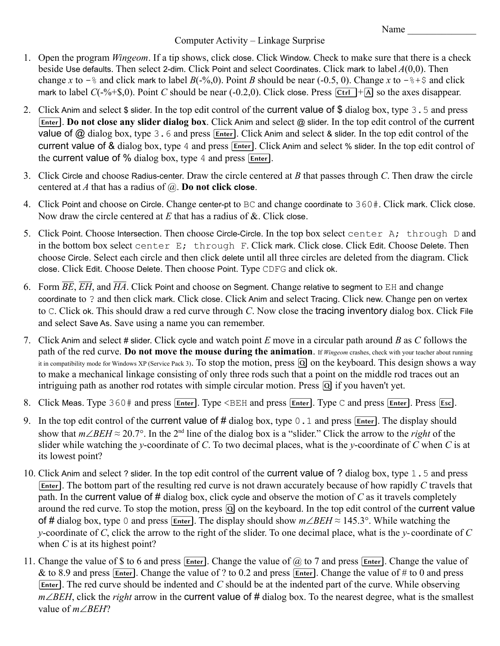Computer Activity – Linkage Surprise

- 1. Open the program *Wingeom*. If a tip shows, click close. Click Window. Check to make sure that there is a check beside Use defaults. Then select 2-dim. Click Point and select Coordinates. Click mark to label *A*(0,0). Then change *x* to  $-\frac{1}{6}$  and click mark to label *B*( $-\frac{6}{6}$ ,0). Point *B* should be near ( $-0.5$ , 0). Change *x* to  $-\frac{6}{6}$ + $\frac{6}{5}$  and click mark to label  $C(-%+\$,0)$ . Point *C* should be near (-0.2,0). Click close. Press  $\overline{C_{tr1}}$  +A so the axes disappear.
- 2. Click Anim and select \$ slider. In the top edit control of the current value of \$ dialog box, type 3.5 and press . **Do not close any slider dialog box**. Click Anim and select @ slider. In the top edit control of the current Enter value of  $@$  dialog box, type  $3.6$  and press  $[Enter]$ . Click Anim and select & slider. In the top edit control of the current value of & dialog box, type 4 and press **Enter**). Click Anim and select % slider. In the top edit control of the current value of % dialog box, type  $4$  and press  $\boxed{\text{Enter}}$ .
- 3. Click Circle and choose Radius-center. Draw the circle centered at *B* that passes through *C*. Then draw the circle centered at *A* that has a radius of @. **Do not click close**.
- 4. Click Point and choose on Circle. Change center-pt to BC and change coordinate to 360#. Click mark. Click close. Now draw the circle centered at *E* that has a radius of &. Click close.
- 5. Click Point. Choose Intersection. Then choose Circle-Circle. In the top box select center A; through D and in the bottom box select center E; through F. Click mark. Click close. Click Edit. Choose Delete. Then choose Circle. Select each circle and then click delete until all three circles are deleted from the diagram. Click close. Click Edit. Choose Delete. Then choose Point. Type CDFG and click ok.
- 6. Form *BE*, *EH*, and *HA*. Click Point and choose on Segment. Change relative to segment to EH and change coordinate to ? and then click mark. Click close. Click Anim and select Tracing. Click new. Change pen on vertex to C. Click ok. This should draw a red curve through *C*. Now close the tracing inventory dialog box. Click File and select Save As. Save using a name you can remember.
- 7. Click Anim and select # slider. Click cycle and watch point *E* move in a circular path around *B* as *C* follows the path of the red curve. **Do not move the mouse during the animation**. If *Wingeom* crashes, check with your teacher about running it in compatibility mode for Windows XP (Service Pack 3). To stop the motion, press Q on the keyboard. This design shows a way to make a mechanical linkage consisting of only three rods such that a point on the middle rod traces out an intriguing path as another rod rotates with simple circular motion. Press Q if you haven't yet.
- 8. Click Meas. Type 360# and press Enter]. Type <BEH and press Enter]. Type C and press Enter]. Press Esc].
- 9. In the top edit control of the current value of  $\#$  dialog box, type 0.1 and press  $[Enter]$ . The display should show that  $m\angle BEH \approx 20.7^\circ$ . In the 2<sup>nd</sup> line of the dialog box is a "slider." Click the arrow to the *right* of the slider while watching the *y*-coordinate of *C*. To two decimal places, what is the *y*-coordinate of *C* when *C* is at its lowest point?
- 10. Click Anim and select ? slider. In the top edit control of the current value of ? dialog box, type 1.5 and press . The bottom part of the resulting red curve is not drawn accurately because of how rapidly *C* travels that Enter path. In the current value of # dialog box, click cycle and observe the motion of *C* as it travels completely around the red curve. To stop the motion, press  $\overline{Q}$  on the keyboard. In the top edit control of the current value of # dialog box, type 0 and press [*Enter*]. The display should show  $m\angle BEH \approx 145.3^{\circ}$ . While watching the *y*-coordinate of *C*, click the arrow to the right of the slider. To one decimal place, what is the *y-*coordinate of *C* when *C* is at its highest point?
- 11. Change the value of \$ to 6 and press  $[Enter]$ . Change the value of  $@$  to 7 and press  $[Enter]$ . Change the value of & to 8.9 and press  $\overline{E}$  Enter]. Change the value of ? to 0.2 and press  $\overline{E}$  nter]. Change the value of # to 0 and press . The red curve should be indented and *C* should be at the indented part of the curve. While observing Enter $m\angle BEH$ , click the *right* arrow in the current value of # dialog box. To the nearest degree, what is the smallest value of  $m\angle BEH$ ?